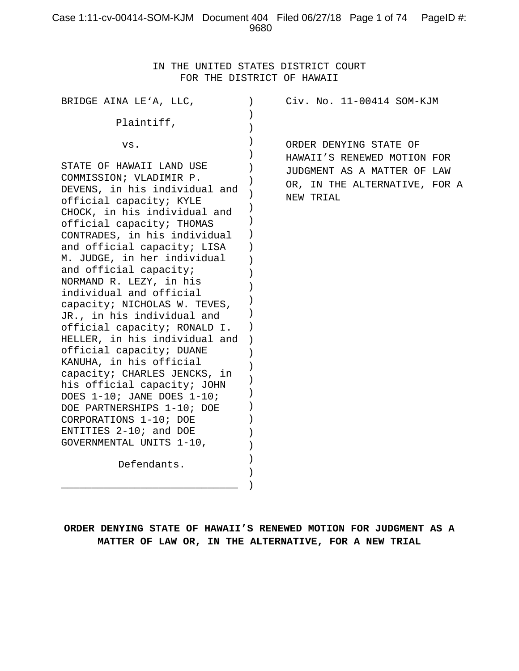## Case 1:11-cv-00414-SOM-KJM Document 404 Filed 06/27/18 Page 1 of 74 PageID #: 9680

IN THE UNITED STATES DISTRICT COURT FOR THE DISTRICT OF HAWAII

| BRIDGE AINA LE'A, LLC,                                                                                                                                                                                                                                                                                                                                                                                                                                                                                                                                                                                                                                                                                                                                             | Civ. No. 11-00414 SOM-KJM                                                                                                          |
|--------------------------------------------------------------------------------------------------------------------------------------------------------------------------------------------------------------------------------------------------------------------------------------------------------------------------------------------------------------------------------------------------------------------------------------------------------------------------------------------------------------------------------------------------------------------------------------------------------------------------------------------------------------------------------------------------------------------------------------------------------------------|------------------------------------------------------------------------------------------------------------------------------------|
| Plaintiff,                                                                                                                                                                                                                                                                                                                                                                                                                                                                                                                                                                                                                                                                                                                                                         |                                                                                                                                    |
| VS.<br>STATE OF HAWAII LAND USE<br>COMMISSION; VLADIMIR P.<br>DEVENS, in his individual and<br>official capacity; KYLE<br>CHOCK, in his individual and<br>official capacity; THOMAS<br>CONTRADES, in his individual<br>and official capacity; LISA<br>M. JUDGE, in her individual<br>and official capacity;<br>NORMAND R. LEZY, in his<br>individual and official<br>capacity; NICHOLAS W. TEVES,<br>JR., in his individual and<br>official capacity; RONALD I.<br>HELLER, in his individual and<br>official capacity; DUANE<br>KANUHA, in his official<br>capacity; CHARLES JENCKS, in<br>his official capacity; JOHN<br>DOES 1-10; JANE DOES 1-10;<br>DOE PARTNERSHIPS 1-10; DOE<br>CORPORATIONS 1-10; DOE<br>ENTITIES 2-10; and DOE<br>GOVERNMENTAL UNITS 1-10, | ORDER DENYING STATE OF<br>HAWAII'S RENEWED MOTION FOR<br>JUDGMENT AS A MATTER OF LAW<br>OR, IN THE ALTERNATIVE, FOR A<br>NEW TRIAL |
| Defendants.                                                                                                                                                                                                                                                                                                                                                                                                                                                                                                                                                                                                                                                                                                                                                        |                                                                                                                                    |
|                                                                                                                                                                                                                                                                                                                                                                                                                                                                                                                                                                                                                                                                                                                                                                    |                                                                                                                                    |

**ORDER DENYING STATE OF HAWAII'S RENEWED MOTION FOR JUDGMENT AS A MATTER OF LAW OR, IN THE ALTERNATIVE, FOR A NEW TRIAL**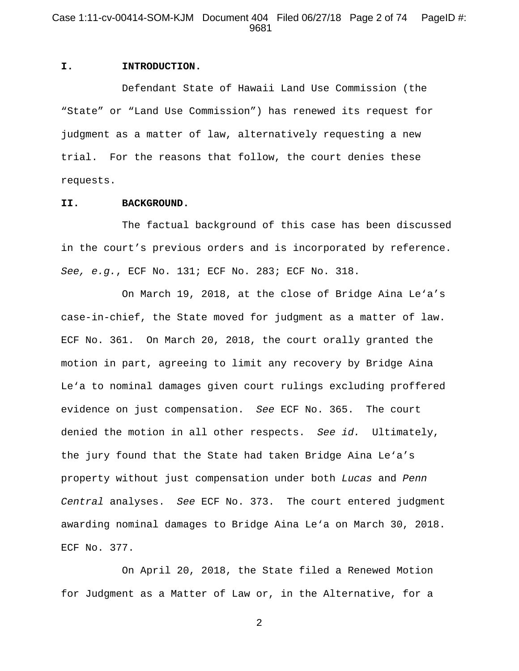### Case 1:11-cv-00414-SOM-KJM Document 404 Filed 06/27/18 Page 2 of 74 PageID #: 9681

#### **I. INTRODUCTION.**

Defendant State of Hawaii Land Use Commission (the "State" or "Land Use Commission") has renewed its request for judgment as a matter of law, alternatively requesting a new trial. For the reasons that follow, the court denies these requests.

#### **II. BACKGROUND.**

The factual background of this case has been discussed in the court's previous orders and is incorporated by reference. *See, e.g.*, ECF No. 131; ECF No. 283; ECF No. 318.

On March 19, 2018, at the close of Bridge Aina Le'a's case-in-chief, the State moved for judgment as a matter of law. ECF No. 361. On March 20, 2018, the court orally granted the motion in part, agreeing to limit any recovery by Bridge Aina Le'a to nominal damages given court rulings excluding proffered evidence on just compensation. *See* ECF No. 365. The court denied the motion in all other respects. *See id.* Ultimately, the jury found that the State had taken Bridge Aina Le'a's property without just compensation under both *Lucas* and *Penn Central* analyses. *See* ECF No. 373. The court entered judgment awarding nominal damages to Bridge Aina Le'a on March 30, 2018. ECF No. 377.

On April 20, 2018, the State filed a Renewed Motion for Judgment as a Matter of Law or, in the Alternative, for a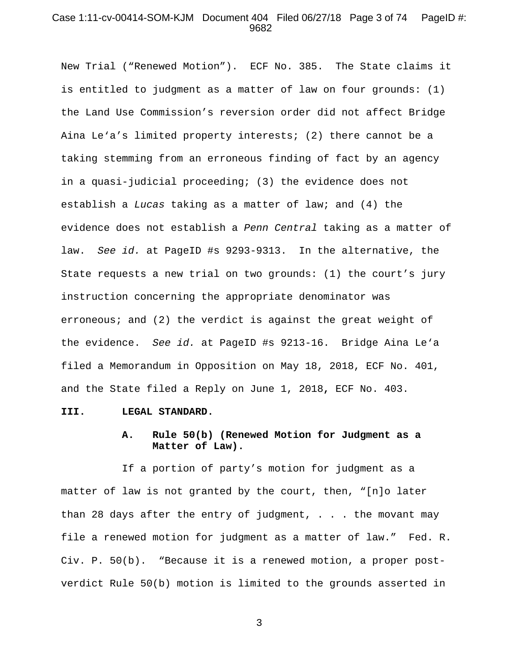#### Case 1:11-cv-00414-SOM-KJM Document 404 Filed 06/27/18 Page 3 of 74 PageID #: 9682

New Trial ("Renewed Motion"). ECF No. 385. The State claims it is entitled to judgment as a matter of law on four grounds: (1) the Land Use Commission's reversion order did not affect Bridge Aina Le'a's limited property interests; (2) there cannot be a taking stemming from an erroneous finding of fact by an agency in a quasi-judicial proceeding; (3) the evidence does not establish a *Lucas* taking as a matter of law; and (4) the evidence does not establish a *Penn Central* taking as a matter of law. *See id.* at PageID #s 9293-9313. In the alternative, the State requests a new trial on two grounds: (1) the court's jury instruction concerning the appropriate denominator was erroneous; and (2) the verdict is against the great weight of the evidence. *See id.* at PageID #s 9213-16. Bridge Aina Le'a filed a Memorandum in Opposition on May 18, 2018, ECF No. 401, and the State filed a Reply on June 1, 2018**,** ECF No. 403.

#### **III. LEGAL STANDARD.**

## **A. Rule 50(b) (Renewed Motion for Judgment as a Matter of Law).**

If a portion of party's motion for judgment as a matter of law is not granted by the court, then, "[n]o later than 28 days after the entry of judgment,  $\ldots$  the movant may file a renewed motion for judgment as a matter of law." Fed. R. Civ. P. 50(b). "Because it is a renewed motion, a proper postverdict Rule 50(b) motion is limited to the grounds asserted in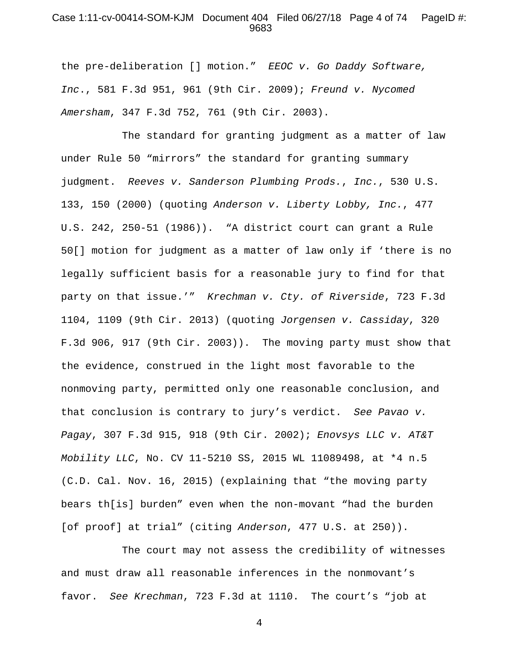#### Case 1:11-cv-00414-SOM-KJM Document 404 Filed 06/27/18 Page 4 of 74 PageID #: 9683

the pre-deliberation [] motion." *EEOC v. Go Daddy Software, Inc*., 581 F.3d 951, 961 (9th Cir. 2009); *Freund v. Nycomed Amersham*, 347 F.3d 752, 761 (9th Cir. 2003).

The standard for granting judgment as a matter of law under Rule 50 "mirrors" the standard for granting summary judgment. *Reeves v. Sanderson Plumbing Prods.*, *Inc.*, 530 U.S. 133, 150 (2000) (quoting *Anderson v. Liberty Lobby, Inc.*, 477 U.S. 242, 250-51 (1986)). "A district court can grant a Rule 50[] motion for judgment as a matter of law only if 'there is no legally sufficient basis for a reasonable jury to find for that party on that issue.'" *Krechman v. Cty. of Riverside*, 723 F.3d 1104, 1109 (9th Cir. 2013) (quoting *Jorgensen v. Cassiday*, 320 F.3d 906, 917 (9th Cir. 2003)). The moving party must show that the evidence, construed in the light most favorable to the nonmoving party, permitted only one reasonable conclusion, and that conclusion is contrary to jury's verdict. *See Pavao v. Pagay*, 307 F.3d 915, 918 (9th Cir. 2002); *Enovsys LLC v. AT&T Mobility LLC*, No. CV 11-5210 SS, 2015 WL 11089498, at \*4 n.5 (C.D. Cal. Nov. 16, 2015) (explaining that "the moving party bears th[is] burden" even when the non-movant "had the burden [of proof] at trial" (citing *Anderson*, 477 U.S. at 250)).

The court may not assess the credibility of witnesses and must draw all reasonable inferences in the nonmovant's favor. *See Krechman*, 723 F.3d at 1110. The court's "job at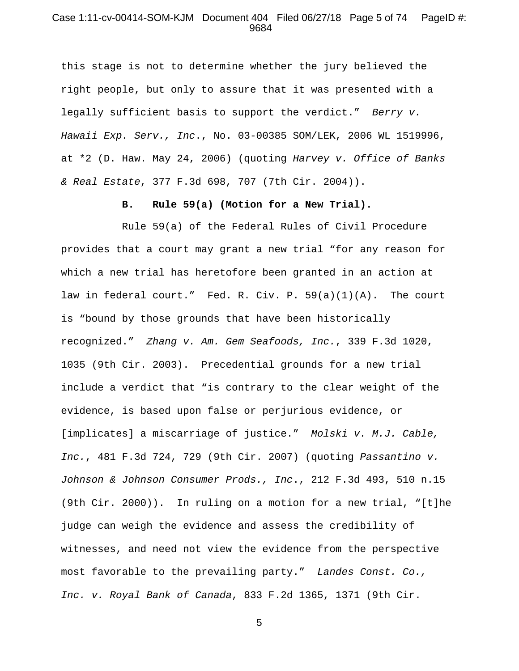#### Case 1:11-cv-00414-SOM-KJM Document 404 Filed 06/27/18 Page 5 of 74 PageID #: 9684

this stage is not to determine whether the jury believed the right people, but only to assure that it was presented with a legally sufficient basis to support the verdict." *Berry v. Hawaii Exp. Serv., Inc*., No. 03-00385 SOM/LEK, 2006 WL 1519996, at \*2 (D. Haw. May 24, 2006) (quoting *Harvey v. Office of Banks & Real Estate*, 377 F.3d 698, 707 (7th Cir. 2004)).

### **B. Rule 59(a) (Motion for a New Trial).**

Rule 59(a) of the Federal Rules of Civil Procedure provides that a court may grant a new trial "for any reason for which a new trial has heretofore been granted in an action at law in federal court." Fed. R. Civ. P. 59(a)(1)(A). The court is "bound by those grounds that have been historically recognized." *Zhang v. Am. Gem Seafoods, Inc.*, 339 F.3d 1020, 1035 (9th Cir. 2003). Precedential grounds for a new trial include a verdict that "is contrary to the clear weight of the evidence, is based upon false or perjurious evidence, or [implicates] a miscarriage of justice." *Molski v. M.J. Cable, Inc.*, 481 F.3d 724, 729 (9th Cir. 2007) (quoting *Passantino v. Johnson & Johnson Consumer Prods., Inc*., 212 F.3d 493, 510 n.15 (9th Cir. 2000)). In ruling on a motion for a new trial, "[t]he judge can weigh the evidence and assess the credibility of witnesses, and need not view the evidence from the perspective most favorable to the prevailing party." *Landes Const. Co., Inc. v. Royal Bank of Canada*, 833 F.2d 1365, 1371 (9th Cir.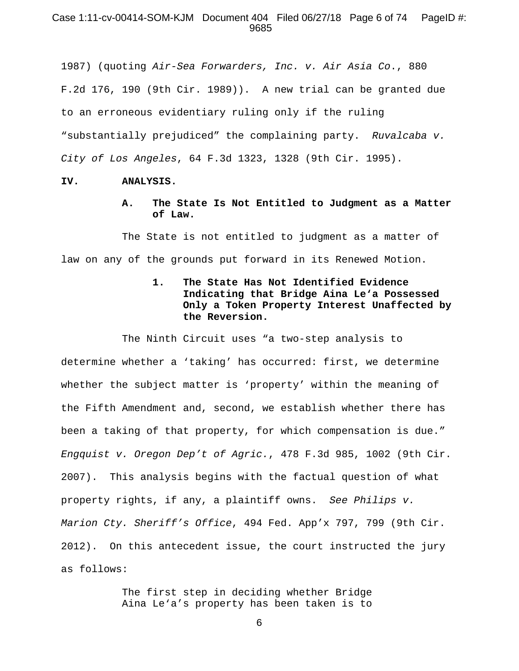### Case 1:11-cv-00414-SOM-KJM Document 404 Filed 06/27/18 Page 6 of 74 PageID #: 9685

1987) (quoting *Air-Sea Forwarders, Inc. v. Air Asia Co*., 880 F.2d 176, 190 (9th Cir. 1989)). A new trial can be granted due to an erroneous evidentiary ruling only if the ruling "substantially prejudiced" the complaining party. *Ruvalcaba v. City of Los Angeles*, 64 F.3d 1323, 1328 (9th Cir. 1995).

#### **IV. ANALYSIS.**

**A. The State Is Not Entitled to Judgment as a Matter of Law.** 

The State is not entitled to judgment as a matter of law on any of the grounds put forward in its Renewed Motion.

> **1. The State Has Not Identified Evidence Indicating that Bridge Aina Le'a Possessed Only a Token Property Interest Unaffected by the Reversion.**

The Ninth Circuit uses "a two-step analysis to determine whether a 'taking' has occurred: first, we determine whether the subject matter is 'property' within the meaning of the Fifth Amendment and, second, we establish whether there has been a taking of that property, for which compensation is due." *Engquist v. Oregon Dep't of Agric.*, 478 F.3d 985, 1002 (9th Cir. 2007). This analysis begins with the factual question of what property rights, if any, a plaintiff owns. *See Philips v. Marion Cty. Sheriff's Office*, 494 Fed. App'x 797, 799 (9th Cir. 2012). On this antecedent issue, the court instructed the jury as follows:

> The first step in deciding whether Bridge Aina Le'a's property has been taken is to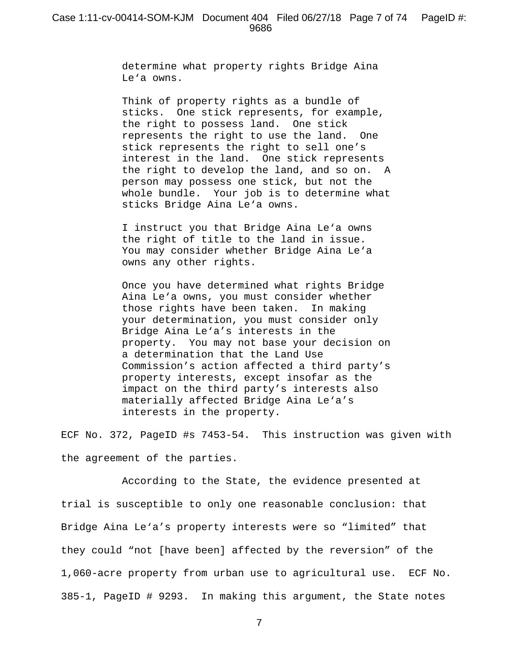determine what property rights Bridge Aina Le'a owns.

Think of property rights as a bundle of sticks. One stick represents, for example, the right to possess land. One stick represents the right to use the land. One stick represents the right to sell one's interest in the land. One stick represents the right to develop the land, and so on. A person may possess one stick, but not the whole bundle. Your job is to determine what sticks Bridge Aina Le'a owns.

I instruct you that Bridge Aina Le'a owns the right of title to the land in issue. You may consider whether Bridge Aina Le'a owns any other rights.

Once you have determined what rights Bridge Aina Le'a owns, you must consider whether those rights have been taken. In making your determination, you must consider only Bridge Aina Le'a's interests in the property. You may not base your decision on a determination that the Land Use Commission's action affected a third party's property interests, except insofar as the impact on the third party's interests also materially affected Bridge Aina Le'a's interests in the property.

ECF No. 372, PageID #s 7453-54. This instruction was given with the agreement of the parties.

According to the State, the evidence presented at trial is susceptible to only one reasonable conclusion: that Bridge Aina Le'a's property interests were so "limited" that they could "not [have been] affected by the reversion" of the 1,060-acre property from urban use to agricultural use. ECF No. 385-1, PageID # 9293. In making this argument, the State notes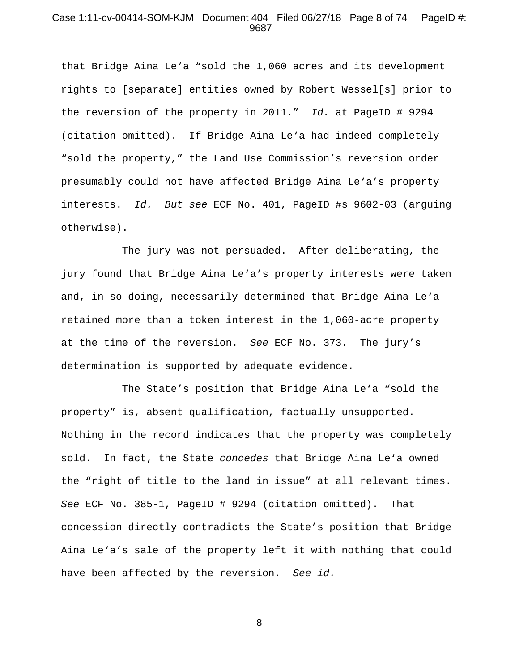#### Case 1:11-cv-00414-SOM-KJM Document 404 Filed 06/27/18 Page 8 of 74 PageID #: 9687

that Bridge Aina Le'a "sold the 1,060 acres and its development rights to [separate] entities owned by Robert Wessel[s] prior to the reversion of the property in 2011." *Id.* at PageID # 9294 (citation omitted). If Bridge Aina Le'a had indeed completely "sold the property," the Land Use Commission's reversion order presumably could not have affected Bridge Aina Le'a's property interests. *Id. But see* ECF No. 401, PageID #s 9602-03 (arguing otherwise).

The jury was not persuaded. After deliberating, the jury found that Bridge Aina Le'a's property interests were taken and, in so doing, necessarily determined that Bridge Aina Le'a retained more than a token interest in the 1,060-acre property at the time of the reversion. *See* ECF No. 373. The jury's determination is supported by adequate evidence.

The State's position that Bridge Aina Le'a "sold the property" is, absent qualification, factually unsupported. Nothing in the record indicates that the property was completely sold. In fact, the State *concedes* that Bridge Aina Le'a owned the "right of title to the land in issue" at all relevant times. *See* ECF No. 385-1, PageID # 9294 (citation omitted). That concession directly contradicts the State's position that Bridge Aina Le'a's sale of the property left it with nothing that could have been affected by the reversion. *See id.*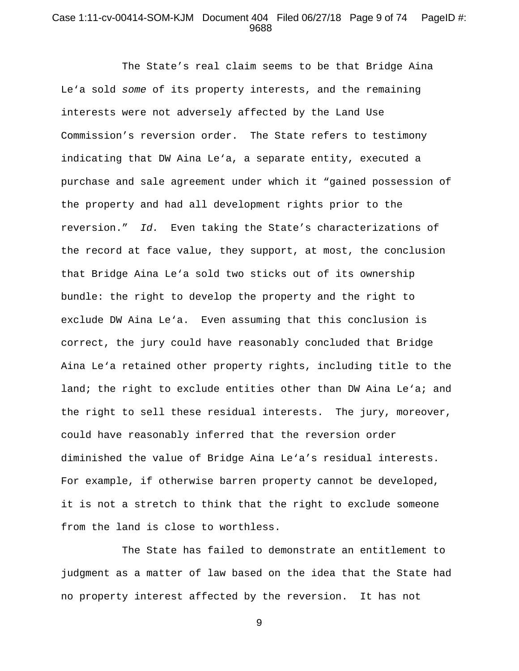### Case 1:11-cv-00414-SOM-KJM Document 404 Filed 06/27/18 Page 9 of 74 PageID #: 9688

The State's real claim seems to be that Bridge Aina Le'a sold *some* of its property interests, and the remaining interests were not adversely affected by the Land Use Commission's reversion order. The State refers to testimony indicating that DW Aina Le'a, a separate entity, executed a purchase and sale agreement under which it "gained possession of the property and had all development rights prior to the reversion." *Id.* Even taking the State's characterizations of the record at face value, they support, at most, the conclusion that Bridge Aina Le'a sold two sticks out of its ownership bundle: the right to develop the property and the right to exclude DW Aina Le'a. Even assuming that this conclusion is correct, the jury could have reasonably concluded that Bridge Aina Le'a retained other property rights, including title to the land; the right to exclude entities other than DW Aina Le'a; and the right to sell these residual interests. The jury, moreover, could have reasonably inferred that the reversion order diminished the value of Bridge Aina Le'a's residual interests. For example, if otherwise barren property cannot be developed, it is not a stretch to think that the right to exclude someone from the land is close to worthless.

The State has failed to demonstrate an entitlement to judgment as a matter of law based on the idea that the State had no property interest affected by the reversion. It has not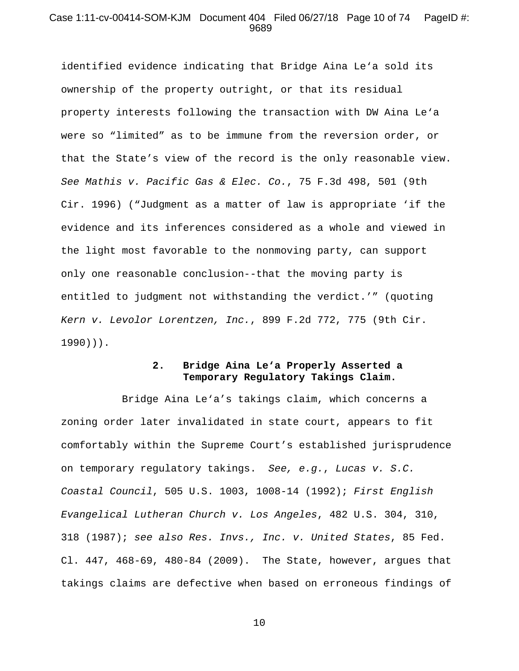### Case 1:11-cv-00414-SOM-KJM Document 404 Filed 06/27/18 Page 10 of 74 PageID #: 9689

identified evidence indicating that Bridge Aina Le'a sold its ownership of the property outright, or that its residual property interests following the transaction with DW Aina Le'a were so "limited" as to be immune from the reversion order, or that the State's view of the record is the only reasonable view. *See Mathis v. Pacific Gas & Elec. Co.*, 75 F.3d 498, 501 (9th Cir. 1996) ("Judgment as a matter of law is appropriate 'if the evidence and its inferences considered as a whole and viewed in the light most favorable to the nonmoving party, can support only one reasonable conclusion--that the moving party is entitled to judgment not withstanding the verdict.'" (quoting *Kern v. Levolor Lorentzen, Inc.*, 899 F.2d 772, 775 (9th Cir. 1990))).

# **2. Bridge Aina Le'a Properly Asserted a Temporary Regulatory Takings Claim.**

Bridge Aina Le'a's takings claim, which concerns a zoning order later invalidated in state court, appears to fit comfortably within the Supreme Court's established jurisprudence on temporary regulatory takings. *See, e.g.*, *Lucas v. S.C. Coastal Council*, 505 U.S. 1003, 1008-14 (1992); *First English Evangelical Lutheran Church v. Los Angeles*, 482 U.S. 304, 310, 318 (1987); *see also Res. Invs., Inc. v. United States*, 85 Fed. Cl. 447, 468-69, 480-84 (2009). The State, however, argues that takings claims are defective when based on erroneous findings of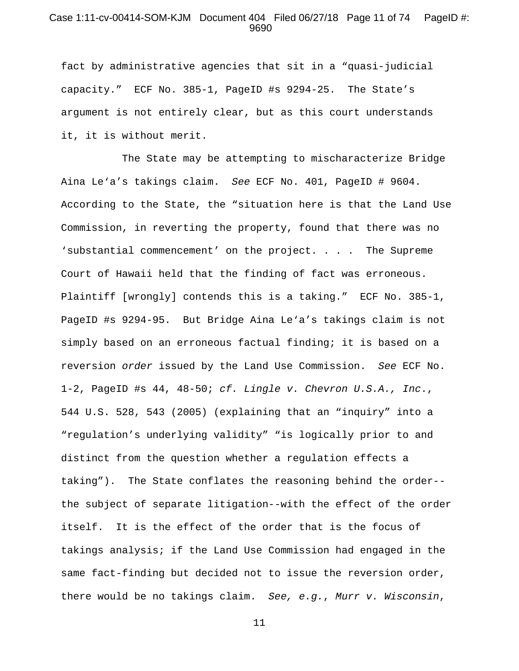### Case 1:11-cv-00414-SOM-KJM Document 404 Filed 06/27/18 Page 11 of 74 PageID #: 9690

fact by administrative agencies that sit in a "quasi-judicial capacity." ECF No. 385-1, PageID #s 9294-25. The State's argument is not entirely clear, but as this court understands it, it is without merit.

The State may be attempting to mischaracterize Bridge Aina Le'a's takings claim. *See* ECF No. 401, PageID # 9604. According to the State, the "situation here is that the Land Use Commission, in reverting the property, found that there was no 'substantial commencement' on the project. . . . The Supreme Court of Hawaii held that the finding of fact was erroneous. Plaintiff [wrongly] contends this is a taking." ECF No. 385-1, PageID #s 9294-95. But Bridge Aina Le'a's takings claim is not simply based on an erroneous factual finding; it is based on a reversion *order* issued by the Land Use Commission. *See* ECF No. 1-2, PageID #s 44, 48-50; *cf. Lingle v. Chevron U.S.A., Inc*., 544 U.S. 528, 543 (2005) (explaining that an "inquiry" into a "regulation's underlying validity" "is logically prior to and distinct from the question whether a regulation effects a taking"). The State conflates the reasoning behind the order- the subject of separate litigation--with the effect of the order itself. It is the effect of the order that is the focus of takings analysis; if the Land Use Commission had engaged in the same fact-finding but decided not to issue the reversion order, there would be no takings claim. *See, e.g.*, *Murr v. Wisconsin*,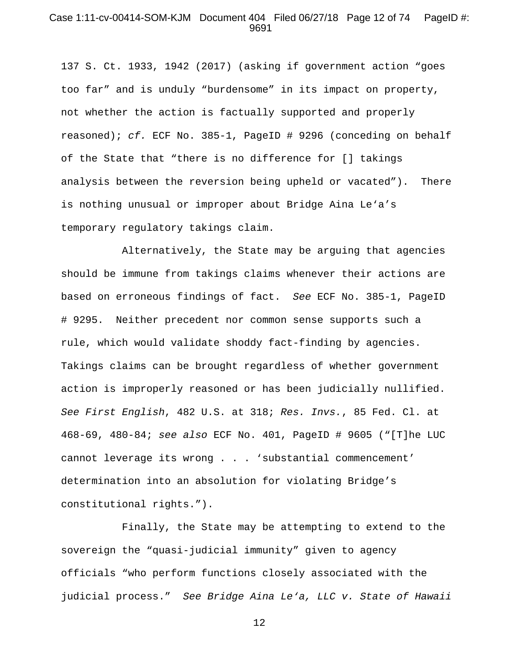#### Case 1:11-cv-00414-SOM-KJM Document 404 Filed 06/27/18 Page 12 of 74 PageID #: 9691

137 S. Ct. 1933, 1942 (2017) (asking if government action "goes too far" and is unduly "burdensome" in its impact on property, not whether the action is factually supported and properly reasoned); *cf.* ECF No. 385-1, PageID # 9296 (conceding on behalf of the State that "there is no difference for [] takings analysis between the reversion being upheld or vacated"). There is nothing unusual or improper about Bridge Aina Le'a's temporary regulatory takings claim.

Alternatively, the State may be arguing that agencies should be immune from takings claims whenever their actions are based on erroneous findings of fact. *See* ECF No. 385-1, PageID # 9295. Neither precedent nor common sense supports such a rule, which would validate shoddy fact-finding by agencies. Takings claims can be brought regardless of whether government action is improperly reasoned or has been judicially nullified. *See First English*, 482 U.S. at 318; *Res. Invs.*, 85 Fed. Cl. at 468-69, 480-84; *see also* ECF No. 401, PageID # 9605 ("[T]he LUC cannot leverage its wrong . . . 'substantial commencement' determination into an absolution for violating Bridge's constitutional rights.").

Finally, the State may be attempting to extend to the sovereign the "quasi-judicial immunity" given to agency officials "who perform functions closely associated with the judicial process." *See Bridge Aina Le'a, LLC v. State of Hawaii*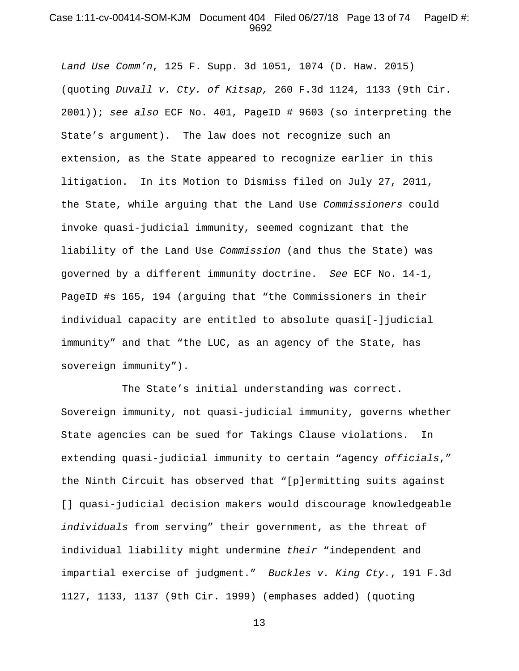#### Case 1:11-cv-00414-SOM-KJM Document 404 Filed 06/27/18 Page 13 of 74 PageID #: 9692

*Land Use Comm'n*, 125 F. Supp. 3d 1051, 1074 (D. Haw. 2015) (quoting *Duvall v. Cty. of Kitsap,* 260 F.3d 1124, 1133 (9th Cir. 2001)); *see also* ECF No. 401, PageID # 9603 (so interpreting the State's argument). The law does not recognize such an extension, as the State appeared to recognize earlier in this litigation. In its Motion to Dismiss filed on July 27, 2011, the State, while arguing that the Land Use *Commissioners* could invoke quasi-judicial immunity, seemed cognizant that the liability of the Land Use *Commission* (and thus the State) was governed by a different immunity doctrine. *See* ECF No. 14-1, PageID #s 165, 194 (arguing that "the Commissioners in their individual capacity are entitled to absolute quasi[-]judicial immunity" and that "the LUC, as an agency of the State, has sovereign immunity").

The State's initial understanding was correct. Sovereign immunity, not quasi-judicial immunity, governs whether State agencies can be sued for Takings Clause violations. In extending quasi-judicial immunity to certain "agency *officials*," the Ninth Circuit has observed that "[p]ermitting suits against [] quasi-judicial decision makers would discourage knowledgeable *individuals* from serving" their government, as the threat of individual liability might undermine *their* "independent and impartial exercise of judgment." *Buckles v. King Cty.*, 191 F.3d 1127, 1133, 1137 (9th Cir. 1999) (emphases added) (quoting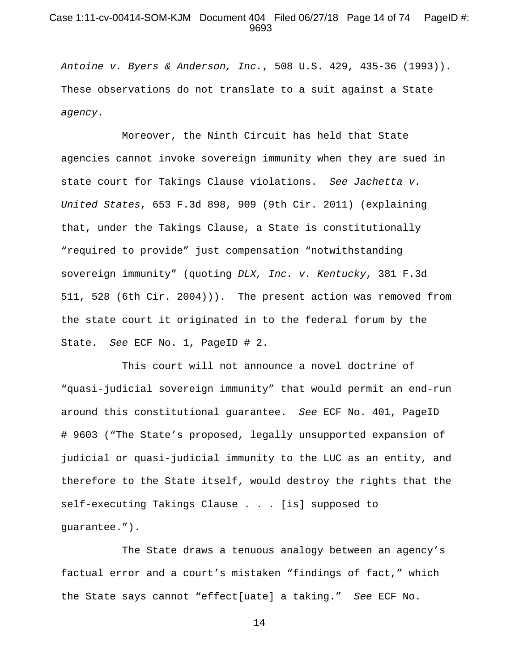### Case 1:11-cv-00414-SOM-KJM Document 404 Filed 06/27/18 Page 14 of 74 PageID #: 9693

*Antoine v. Byers & Anderson, Inc.*, 508 U.S. 429, 435-36 (1993)). These observations do not translate to a suit against a State *agency*.

Moreover, the Ninth Circuit has held that State agencies cannot invoke sovereign immunity when they are sued in state court for Takings Clause violations. *See Jachetta v. United States*, 653 F.3d 898, 909 (9th Cir. 2011) (explaining that, under the Takings Clause, a State is constitutionally "required to provide" just compensation "notwithstanding sovereign immunity" (quoting *DLX, Inc. v. Kentucky*, 381 F.3d 511, 528 (6th Cir. 2004))). The present action was removed from the state court it originated in to the federal forum by the State. *See* ECF No. 1, PageID # 2.

This court will not announce a novel doctrine of "quasi-judicial sovereign immunity" that would permit an end-run around this constitutional guarantee. *See* ECF No. 401, PageID # 9603 ("The State's proposed, legally unsupported expansion of judicial or quasi-judicial immunity to the LUC as an entity, and therefore to the State itself, would destroy the rights that the self-executing Takings Clause . . . [is] supposed to guarantee.").

The State draws a tenuous analogy between an agency's factual error and a court's mistaken "findings of fact," which the State says cannot "effect[uate] a taking." *See* ECF No.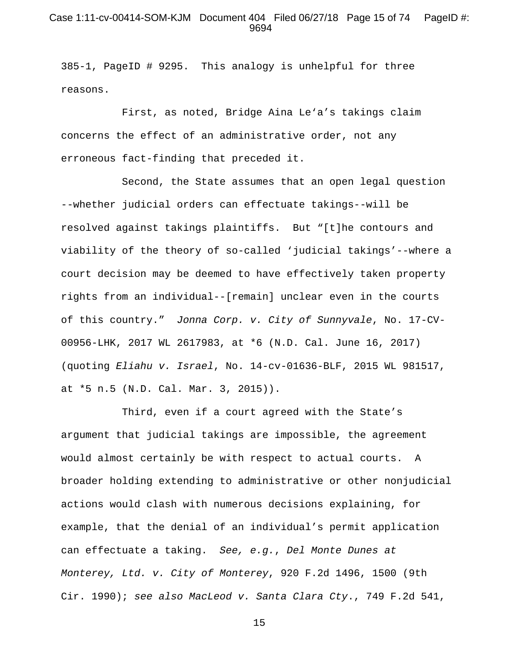#### Case 1:11-cv-00414-SOM-KJM Document 404 Filed 06/27/18 Page 15 of 74 PageID #: 9694

385-1, PageID # 9295. This analogy is unhelpful for three reasons.

First, as noted, Bridge Aina Le'a's takings claim concerns the effect of an administrative order, not any erroneous fact-finding that preceded it.

Second, the State assumes that an open legal question --whether judicial orders can effectuate takings--will be resolved against takings plaintiffs. But "[t]he contours and viability of the theory of so-called 'judicial takings'--where a court decision may be deemed to have effectively taken property rights from an individual--[remain] unclear even in the courts of this country." *Jonna Corp. v. City of Sunnyvale*, No. 17-CV-00956-LHK, 2017 WL 2617983, at \*6 (N.D. Cal. June 16, 2017) (quoting *Eliahu v. Israel*, No. 14-cv-01636-BLF, 2015 WL 981517, at \*5 n.5 (N.D. Cal. Mar. 3, 2015)).

Third, even if a court agreed with the State's argument that judicial takings are impossible, the agreement would almost certainly be with respect to actual courts. A broader holding extending to administrative or other nonjudicial actions would clash with numerous decisions explaining, for example, that the denial of an individual's permit application can effectuate a taking. *See, e.g.*, *Del Monte Dunes at Monterey, Ltd. v. City of Monterey*, 920 F.2d 1496, 1500 (9th Cir. 1990); *see also MacLeod v. Santa Clara Cty*., 749 F.2d 541,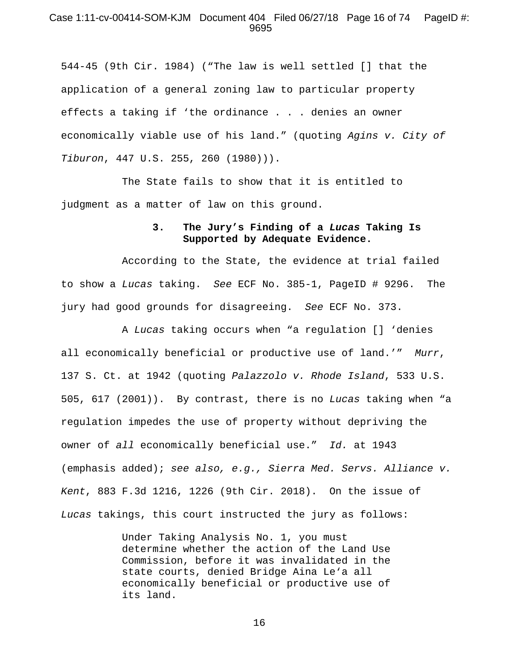#### Case 1:11-cv-00414-SOM-KJM Document 404 Filed 06/27/18 Page 16 of 74 PageID #: 9695

544-45 (9th Cir. 1984) ("The law is well settled [] that the application of a general zoning law to particular property effects a taking if 'the ordinance . . . denies an owner economically viable use of his land." (quoting *Agins v. City of Tiburon*, 447 U.S. 255, 260 (1980))).

The State fails to show that it is entitled to judgment as a matter of law on this ground.

### **3. The Jury's Finding of a** *Lucas* **Taking Is Supported by Adequate Evidence.**

According to the State, the evidence at trial failed to show a *Lucas* taking. *See* ECF No. 385-1, PageID # 9296. The jury had good grounds for disagreeing. *See* ECF No. 373.

A *Lucas* taking occurs when "a regulation [] 'denies all economically beneficial or productive use of land.'" *Murr*, 137 S. Ct. at 1942 (quoting *Palazzolo v. Rhode Island*, 533 U.S. 505, 617 (2001)). By contrast, there is no *Lucas* taking when "a regulation impedes the use of property without depriving the owner of *all* economically beneficial use." *Id.* at 1943 (emphasis added); *see also, e.g., Sierra Med. Servs. Alliance v. Kent*, 883 F.3d 1216, 1226 (9th Cir. 2018). On the issue of *Lucas* takings, this court instructed the jury as follows:

> Under Taking Analysis No. 1, you must determine whether the action of the Land Use Commission, before it was invalidated in the state courts, denied Bridge Aina Le'a all economically beneficial or productive use of its land.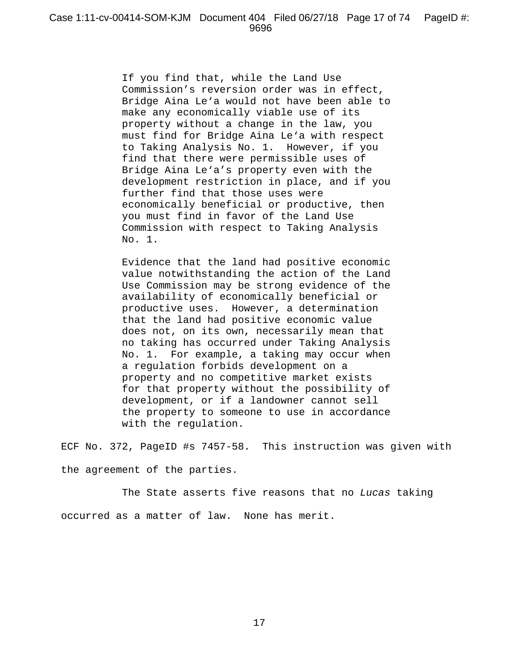If you find that, while the Land Use Commission's reversion order was in effect, Bridge Aina Le'a would not have been able to make any economically viable use of its property without a change in the law, you must find for Bridge Aina Le'a with respect to Taking Analysis No. 1. However, if you find that there were permissible uses of Bridge Aina Le'a's property even with the development restriction in place, and if you further find that those uses were economically beneficial or productive, then you must find in favor of the Land Use Commission with respect to Taking Analysis No. 1.

Evidence that the land had positive economic value notwithstanding the action of the Land Use Commission may be strong evidence of the availability of economically beneficial or productive uses. However, a determination that the land had positive economic value does not, on its own, necessarily mean that no taking has occurred under Taking Analysis No. 1. For example, a taking may occur when a regulation forbids development on a property and no competitive market exists for that property without the possibility of development, or if a landowner cannot sell the property to someone to use in accordance with the regulation.

ECF No. 372, PageID #s 7457-58. This instruction was given with the agreement of the parties.

The State asserts five reasons that no *Lucas* taking occurred as a matter of law. None has merit.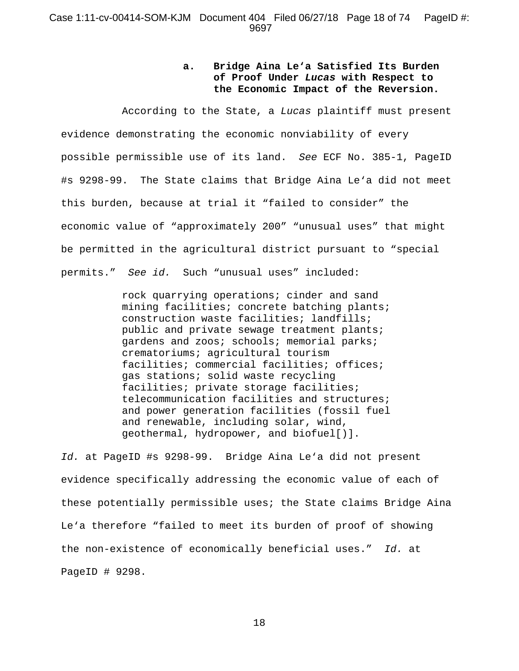# **a. Bridge Aina Le'a Satisfied Its Burden of Proof Under** *Lucas* **with Respect to the Economic Impact of the Reversion.**

According to the State, a *Lucas* plaintiff must present evidence demonstrating the economic nonviability of every possible permissible use of its land. *See* ECF No. 385-1, PageID #s 9298-99. The State claims that Bridge Aina Le'a did not meet this burden, because at trial it "failed to consider" the economic value of "approximately 200" "unusual uses" that might be permitted in the agricultural district pursuant to "special permits." *See id.* Such "unusual uses" included:

> rock quarrying operations; cinder and sand mining facilities; concrete batching plants; construction waste facilities; landfills; public and private sewage treatment plants; gardens and zoos; schools; memorial parks; crematoriums; agricultural tourism facilities; commercial facilities; offices; gas stations; solid waste recycling facilities; private storage facilities; telecommunication facilities and structures; and power generation facilities (fossil fuel and renewable, including solar, wind, geothermal, hydropower, and biofuel[)].

*Id.* at PageID #s 9298-99. Bridge Aina Le'a did not present evidence specifically addressing the economic value of each of these potentially permissible uses; the State claims Bridge Aina Le'a therefore "failed to meet its burden of proof of showing the non-existence of economically beneficial uses." *Id.* at PageID # 9298.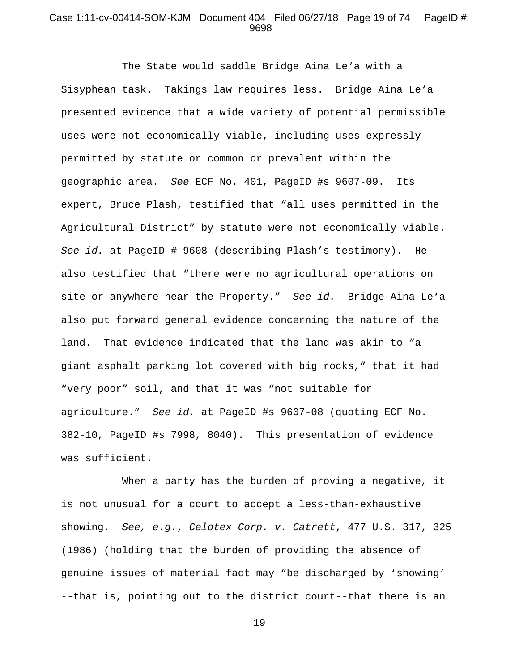#### Case 1:11-cv-00414-SOM-KJM Document 404 Filed 06/27/18 Page 19 of 74 PageID #: 9698

The State would saddle Bridge Aina Le'a with a Sisyphean task. Takings law requires less. Bridge Aina Le'a presented evidence that a wide variety of potential permissible uses were not economically viable, including uses expressly permitted by statute or common or prevalent within the geographic area. *See* ECF No. 401, PageID #s 9607-09. Its expert, Bruce Plash, testified that "all uses permitted in the Agricultural District" by statute were not economically viable. *See id.* at PageID # 9608 (describing Plash's testimony). He also testified that "there were no agricultural operations on site or anywhere near the Property." *See id.* Bridge Aina Le'a also put forward general evidence concerning the nature of the land. That evidence indicated that the land was akin to "a giant asphalt parking lot covered with big rocks," that it had "very poor" soil, and that it was "not suitable for agriculture." *See id.* at PageID #s 9607-08 (quoting ECF No. 382-10, PageID #s 7998, 8040). This presentation of evidence was sufficient.

When a party has the burden of proving a negative, it is not unusual for a court to accept a less-than-exhaustive showing. *See, e.g.*, *Celotex Corp. v. Catrett*, 477 U.S. 317, 325 (1986) (holding that the burden of providing the absence of genuine issues of material fact may "be discharged by 'showing' --that is, pointing out to the district court--that there is an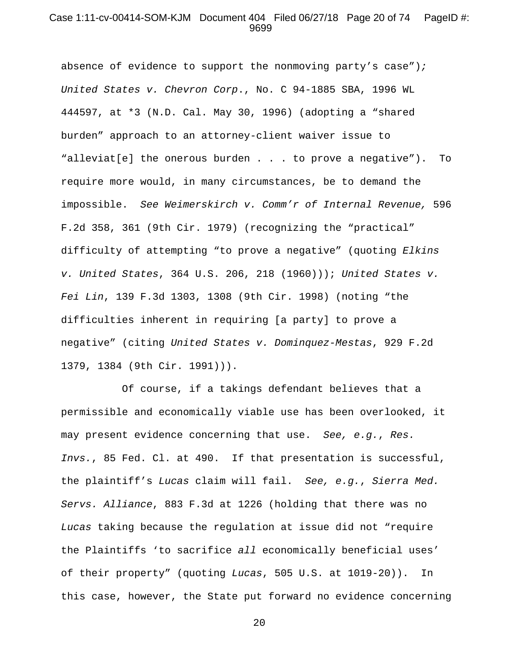#### Case 1:11-cv-00414-SOM-KJM Document 404 Filed 06/27/18 Page 20 of 74 PageID #: 9699

absence of evidence to support the nonmoving party's case")*; United States v. Chevron Corp*., No. C 94-1885 SBA, 1996 WL 444597, at \*3 (N.D. Cal. May 30, 1996) (adopting a "shared burden" approach to an attorney-client waiver issue to "alleviat[e] the onerous burden . . . to prove a negative"). To require more would, in many circumstances, be to demand the impossible. *See Weimerskirch v. Comm'r of Internal Revenue,* 596 F.2d 358, 361 (9th Cir. 1979) (recognizing the "practical" difficulty of attempting "to prove a negative" (quoting *Elkins v. United States*, 364 U.S. 206, 218 (1960))); *United States v. Fei Lin*, 139 F.3d 1303, 1308 (9th Cir. 1998) (noting "the difficulties inherent in requiring [a party] to prove a negative" (citing *United States v. Dominquez-Mestas*, 929 F.2d 1379, 1384 (9th Cir. 1991))).

Of course, if a takings defendant believes that a permissible and economically viable use has been overlooked, it may present evidence concerning that use. *See, e.g.*, *Res. Invs.*, 85 Fed. Cl. at 490. If that presentation is successful, the plaintiff's *Lucas* claim will fail. *See, e.g.*, *Sierra Med. Servs. Alliance*, 883 F.3d at 1226 (holding that there was no *Lucas* taking because the regulation at issue did not "require the Plaintiffs 'to sacrifice *all* economically beneficial uses' of their property" (quoting *Lucas*, 505 U.S. at 1019-20)). In this case, however, the State put forward no evidence concerning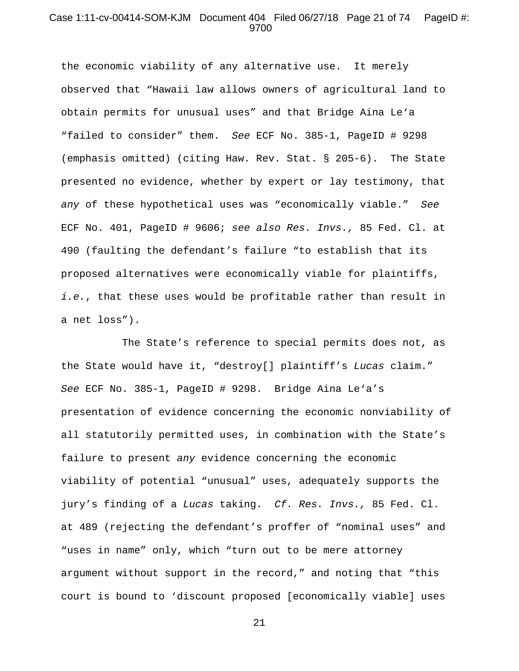### Case 1:11-cv-00414-SOM-KJM Document 404 Filed 06/27/18 Page 21 of 74 PageID #: 9700

the economic viability of any alternative use. It merely observed that "Hawaii law allows owners of agricultural land to obtain permits for unusual uses" and that Bridge Aina Le'a "failed to consider" them. *See* ECF No. 385-1, PageID # 9298 (emphasis omitted) (citing Haw. Rev. Stat. § 205-6). The State presented no evidence, whether by expert or lay testimony, that *any* of these hypothetical uses was "economically viable." *See* ECF No. 401, PageID # 9606; *see also Res. Invs.,* 85 Fed. Cl. at 490 (faulting the defendant's failure "to establish that its proposed alternatives were economically viable for plaintiffs, *i.e.*, that these uses would be profitable rather than result in a net loss").

The State's reference to special permits does not, as the State would have it, "destroy[] plaintiff's *Lucas* claim." *See* ECF No. 385-1, PageID # 9298. Bridge Aina Le'a's presentation of evidence concerning the economic nonviability of all statutorily permitted uses, in combination with the State's failure to present *any* evidence concerning the economic viability of potential "unusual" uses, adequately supports the jury's finding of a *Lucas* taking. *Cf. Res. Invs.,* 85 Fed. Cl. at 489 (rejecting the defendant's proffer of "nominal uses" and "uses in name" only, which "turn out to be mere attorney argument without support in the record," and noting that "this court is bound to 'discount proposed [economically viable] uses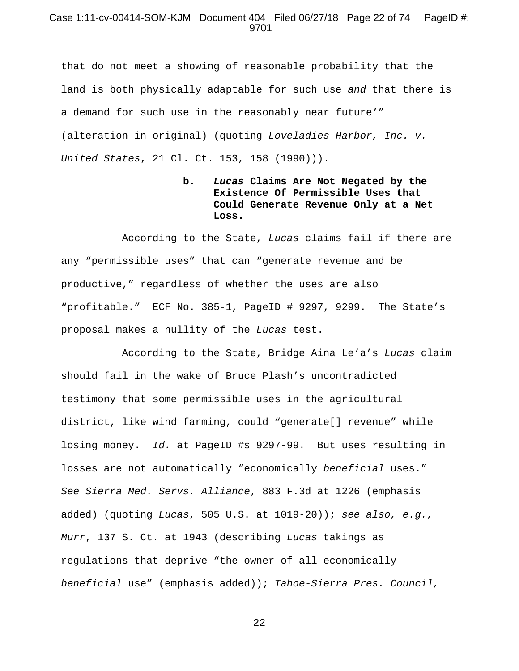### Case 1:11-cv-00414-SOM-KJM Document 404 Filed 06/27/18 Page 22 of 74 PageID #: 9701

that do not meet a showing of reasonable probability that the land is both physically adaptable for such use *and* that there is a demand for such use in the reasonably near future'" (alteration in original) (quoting *Loveladies Harbor, Inc. v. United States*, 21 Cl. Ct. 153, 158 (1990))).

# **b.** *Lucas* **Claims Are Not Negated by the Existence Of Permissible Uses that Could Generate Revenue Only at a Net Loss.**

According to the State, *Lucas* claims fail if there are any "permissible uses" that can "generate revenue and be productive," regardless of whether the uses are also "profitable." ECF No. 385-1, PageID # 9297, 9299. The State's proposal makes a nullity of the *Lucas* test.

According to the State, Bridge Aina Le'a's *Lucas* claim should fail in the wake of Bruce Plash's uncontradicted testimony that some permissible uses in the agricultural district, like wind farming, could "generate[] revenue" while losing money. *Id.* at PageID #s 9297-99. But uses resulting in losses are not automatically "economically *beneficial* uses." *See Sierra Med. Servs. Alliance*, 883 F.3d at 1226 (emphasis added) (quoting *Lucas*, 505 U.S. at 1019-20)); *see also, e.g., Murr*, 137 S. Ct. at 1943 (describing *Lucas* takings as regulations that deprive "the owner of all economically *beneficial* use" (emphasis added)); *Tahoe-Sierra Pres. Council,*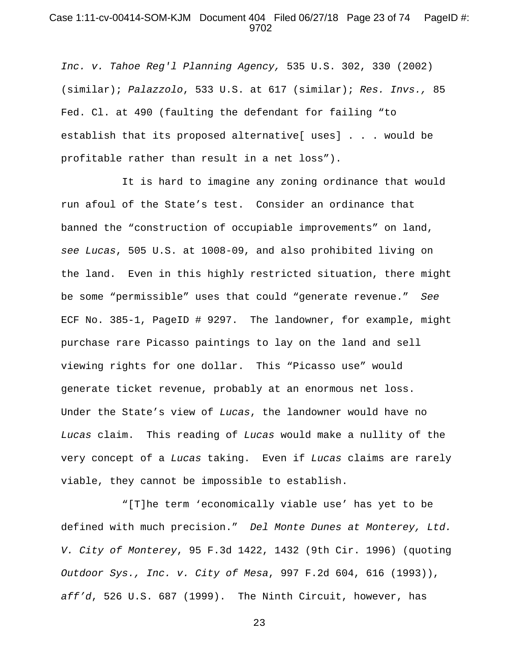### Case 1:11-cv-00414-SOM-KJM Document 404 Filed 06/27/18 Page 23 of 74 PageID #: 9702

*Inc. v. Tahoe Reg'l Planning Agency,* 535 U.S. 302, 330 (2002) (similar); *Palazzolo*, 533 U.S. at 617 (similar); *Res. Invs.,* 85 Fed. Cl. at 490 (faulting the defendant for failing "to establish that its proposed alternative[ uses] . . . would be profitable rather than result in a net loss").

It is hard to imagine any zoning ordinance that would run afoul of the State's test. Consider an ordinance that banned the "construction of occupiable improvements" on land, *see Lucas*, 505 U.S. at 1008-09, and also prohibited living on the land. Even in this highly restricted situation, there might be some "permissible" uses that could "generate revenue." *See*  ECF No. 385-1, PageID # 9297. The landowner, for example, might purchase rare Picasso paintings to lay on the land and sell viewing rights for one dollar. This "Picasso use" would generate ticket revenue, probably at an enormous net loss. Under the State's view of *Lucas*, the landowner would have no *Lucas* claim. This reading of *Lucas* would make a nullity of the very concept of a *Lucas* taking. Even if *Lucas* claims are rarely viable, they cannot be impossible to establish.

"[T]he term 'economically viable use' has yet to be defined with much precision." *Del Monte Dunes at Monterey, Ltd. V. City of Monterey*, 95 F.3d 1422, 1432 (9th Cir. 1996) (quoting *Outdoor Sys., Inc. v. City of Mesa*, 997 F.2d 604, 616 (1993)), *aff'd*, 526 U.S. 687 (1999). The Ninth Circuit, however, has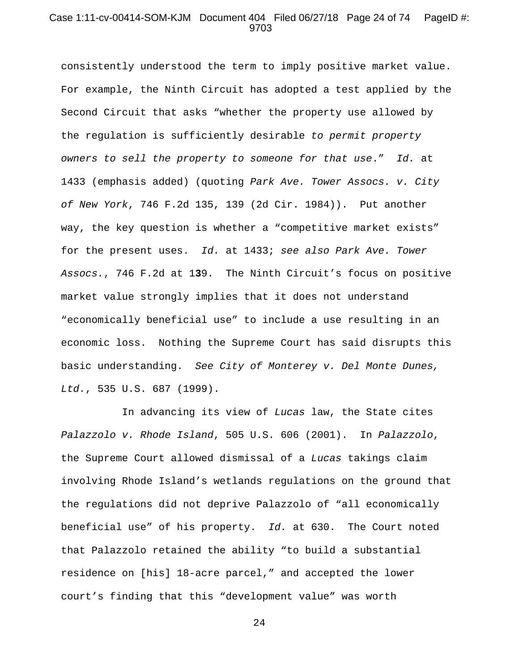### Case 1:11-cv-00414-SOM-KJM Document 404 Filed 06/27/18 Page 24 of 74 PageID #: 9703

consistently understood the term to imply positive market value. For example, the Ninth Circuit has adopted a test applied by the Second Circuit that asks "whether the property use allowed by the regulation is sufficiently desirable *to permit property owners to sell the property to someone for that use*." *Id.* at 1433 (emphasis added) (quoting *Park Ave. Tower Assocs. v. City of New York*, 746 F.2d 135, 139 (2d Cir. 1984)). Put another way, the key question is whether a "competitive market exists" for the present uses. *Id.* at 1433; *see also Park Ave. Tower Assocs.*, 746 F.2d at 1**3**9. The Ninth Circuit's focus on positive market value strongly implies that it does not understand "economically beneficial use" to include a use resulting in an economic loss. Nothing the Supreme Court has said disrupts this basic understanding. *See City of Monterey v. Del Monte Dunes, Ltd.*, 535 U.S. 687 (1999).

In advancing its view of *Lucas* law, the State cites *Palazzolo v. Rhode Island*, 505 U.S. 606 (2001). In *Palazzolo*, the Supreme Court allowed dismissal of a *Lucas* takings claim involving Rhode Island's wetlands regulations on the ground that the regulations did not deprive Palazzolo of "all economically beneficial use" of his property. *Id.* at 630. The Court noted that Palazzolo retained the ability "to build a substantial residence on [his] 18-acre parcel," and accepted the lower court's finding that this "development value" was worth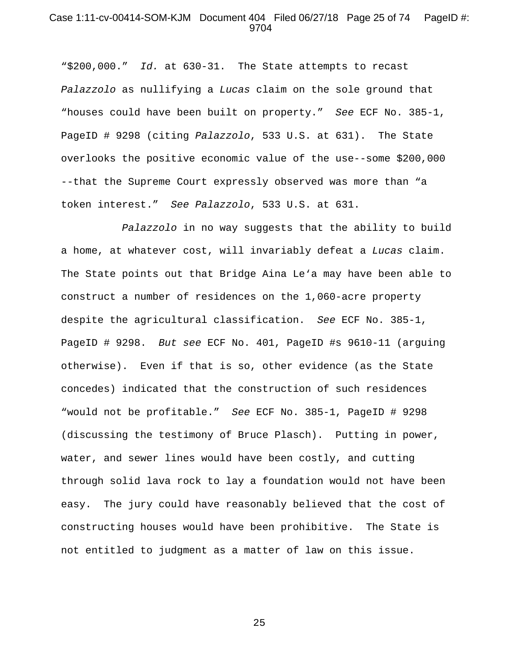#### Case 1:11-cv-00414-SOM-KJM Document 404 Filed 06/27/18 Page 25 of 74 PageID #: 9704

"\$200,000." *Id.* at 630-31. The State attempts to recast *Palazzolo* as nullifying a *Lucas* claim on the sole ground that "houses could have been built on property." *See* ECF No. 385-1, PageID # 9298 (citing *Palazzolo*, 533 U.S. at 631). The State overlooks the positive economic value of the use--some \$200,000 --that the Supreme Court expressly observed was more than "a token interest." *See Palazzolo*, 533 U.S. at 631.

*Palazzolo* in no way suggests that the ability to build a home, at whatever cost, will invariably defeat a *Lucas* claim. The State points out that Bridge Aina Le'a may have been able to construct a number of residences on the 1,060-acre property despite the agricultural classification. *See* ECF No. 385-1, PageID # 9298. *But see* ECF No. 401, PageID #s 9610-11 (arguing otherwise). Even if that is so, other evidence (as the State concedes) indicated that the construction of such residences "would not be profitable." *See* ECF No. 385-1, PageID # 9298 (discussing the testimony of Bruce Plasch). Putting in power, water, and sewer lines would have been costly, and cutting through solid lava rock to lay a foundation would not have been easy. The jury could have reasonably believed that the cost of constructing houses would have been prohibitive. The State is not entitled to judgment as a matter of law on this issue.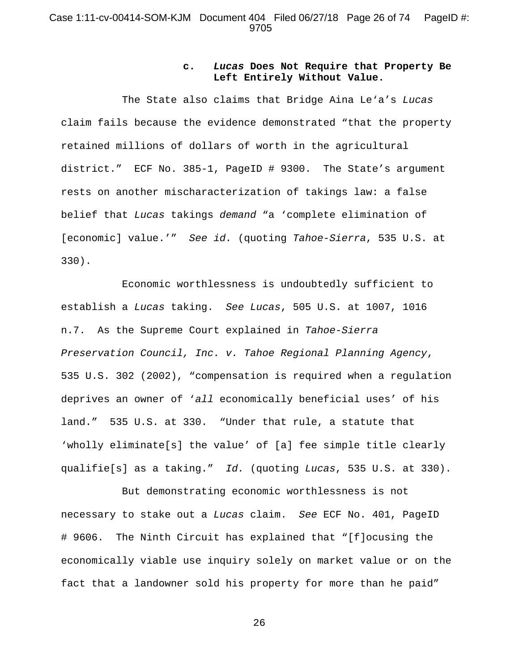### **c.** *Lucas* **Does Not Require that Property Be Left Entirely Without Value.**

The State also claims that Bridge Aina Le'a's *Lucas* claim fails because the evidence demonstrated "that the property retained millions of dollars of worth in the agricultural district." ECF No. 385-1, PageID # 9300. The State's argument rests on another mischaracterization of takings law: a false belief that *Lucas* takings *demand* "a 'complete elimination of [economic] value.'" *See id.* (quoting *Tahoe-Sierra*, 535 U.S. at 330).

Economic worthlessness is undoubtedly sufficient to establish a *Lucas* taking. *See Lucas*, 505 U.S. at 1007, 1016 n.7. As the Supreme Court explained in *Tahoe-Sierra Preservation Council, Inc. v. Tahoe Regional Planning Agency*, 535 U.S. 302 (2002), "compensation is required when a regulation deprives an owner of '*all* economically beneficial uses' of his land." 535 U.S. at 330. "Under that rule, a statute that 'wholly eliminate[s] the value' of [a] fee simple title clearly qualifie[s] as a taking." *Id.* (quoting *Lucas*, 535 U.S. at 330).

But demonstrating economic worthlessness is not necessary to stake out a *Lucas* claim. *See* ECF No. 401, PageID # 9606. The Ninth Circuit has explained that "[f]ocusing the economically viable use inquiry solely on market value or on the fact that a landowner sold his property for more than he paid"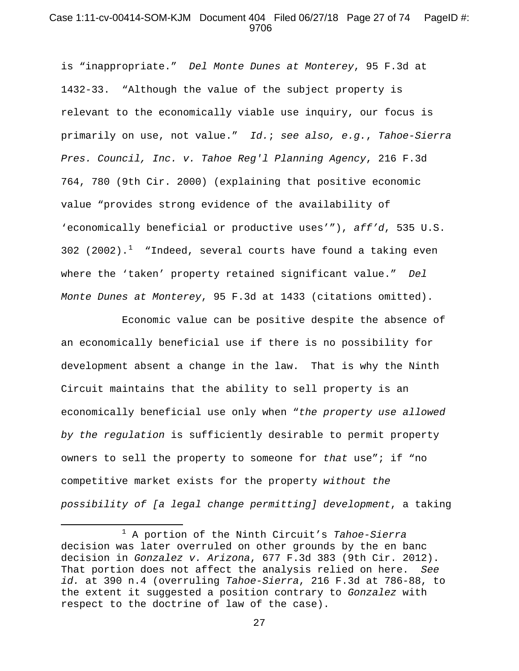#### Case 1:11-cv-00414-SOM-KJM Document 404 Filed 06/27/18 Page 27 of 74 PageID #: 9706

is "inappropriate." *Del Monte Dunes at Monterey*, 95 F.3d at 1432-33. "Although the value of the subject property is relevant to the economically viable use inquiry, our focus is primarily on use, not value." *Id.*; *see also, e.g.*, *Tahoe-Sierra Pres. Council, Inc. v. Tahoe Reg'l Planning Agency*, 216 F.3d 764, 780 (9th Cir. 2000) (explaining that positive economic value "provides strong evidence of the availability of 'economically beneficial or productive uses'"), *aff'd*, 535 U.S. 302 (2002).<sup>[1](#page-26-0)</sup> "Indeed, several courts have found a taking even where the 'taken' property retained significant value." *Del Monte Dunes at Monterey*, 95 F.3d at 1433 (citations omitted).

Economic value can be positive despite the absence of an economically beneficial use if there is no possibility for development absent a change in the law. That is why the Ninth Circuit maintains that the ability to sell property is an economically beneficial use only when "*the property use allowed by the regulation* is sufficiently desirable to permit property owners to sell the property to someone for *that* use"; if "no competitive market exists for the property *without the possibility of [a legal change permitting] development*, a taking

l

<span id="page-26-0"></span><sup>1</sup> A portion of the Ninth Circuit's *Tahoe-Sierra*  decision was later overruled on other grounds by the en banc decision in *Gonzalez v. Arizona*, 677 F.3d 383 (9th Cir. 2012). That portion does not affect the analysis relied on here. *See id.* at 390 n.4 (overruling *Tahoe-Sierra*, 216 F.3d at 786-88, to the extent it suggested a position contrary to *Gonzalez* with respect to the doctrine of law of the case).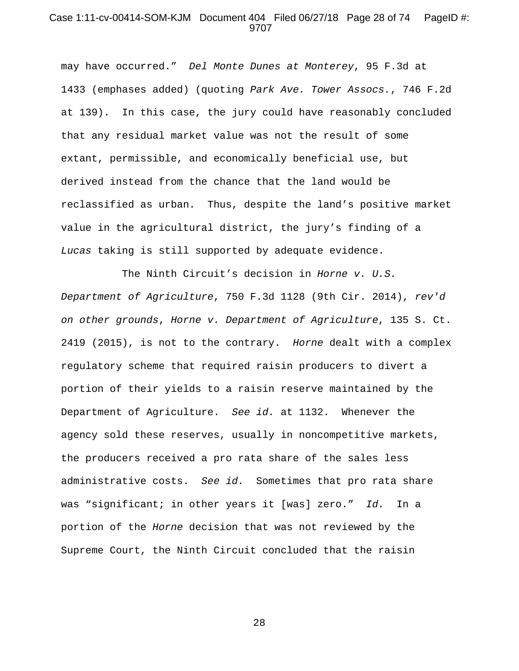### Case 1:11-cv-00414-SOM-KJM Document 404 Filed 06/27/18 Page 28 of 74 PageID #: 9707

may have occurred." *Del Monte Dunes at Monterey*, 95 F.3d at 1433 (emphases added) (quoting *Park Ave. Tower Assocs.*, 746 F.2d at 139). In this case, the jury could have reasonably concluded that any residual market value was not the result of some extant, permissible, and economically beneficial use, but derived instead from the chance that the land would be reclassified as urban. Thus, despite the land's positive market value in the agricultural district, the jury's finding of a *Lucas* taking is still supported by adequate evidence.

The Ninth Circuit's decision in *Horne v. U.S. Department of Agriculture*, 750 F.3d 1128 (9th Cir. 2014), *rev'd on other grounds*, *Horne v. Department of Agriculture*, 135 S. Ct. 2419 (2015), is not to the contrary. *Horne* dealt with a complex regulatory scheme that required raisin producers to divert a portion of their yields to a raisin reserve maintained by the Department of Agriculture. *See id.* at 1132. Whenever the agency sold these reserves, usually in noncompetitive markets, the producers received a pro rata share of the sales less administrative costs. *See id.* Sometimes that pro rata share was "significant; in other years it [was] zero." *Id.* In a portion of the *Horne* decision that was not reviewed by the Supreme Court, the Ninth Circuit concluded that the raisin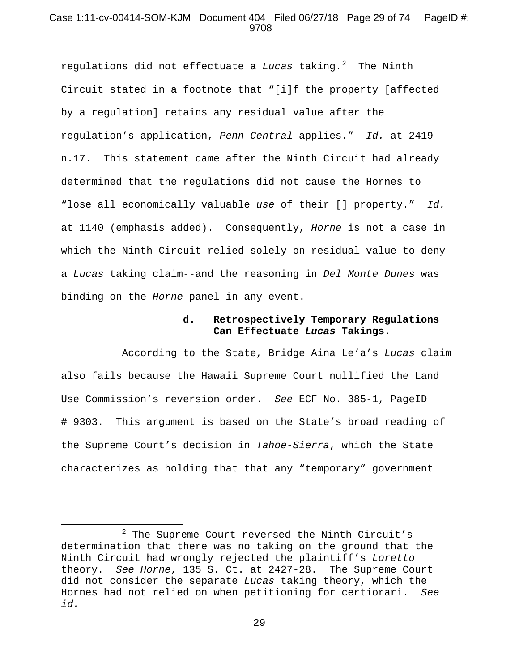### Case 1:11-cv-00414-SOM-KJM Document 404 Filed 06/27/18 Page 29 of 74 PageID #: 9708

regulations did not effectuate a *Lucas* taking.<sup>[2](#page-28-0)</sup> The Ninth Circuit stated in a footnote that "[i]f the property [affected by a regulation] retains any residual value after the regulation's application, *Penn Central* applies." *Id.* at 2419 n.17. This statement came after the Ninth Circuit had already determined that the regulations did not cause the Hornes to "lose all economically valuable *use* of their [] property." *Id.* at 1140 (emphasis added). Consequently, *Horne* is not a case in which the Ninth Circuit relied solely on residual value to deny a *Lucas* taking claim--and the reasoning in *Del Monte Dunes* was binding on the *Horne* panel in any event.

### **d. Retrospectively Temporary Regulations Can Effectuate** *Lucas* **Takings.**

According to the State, Bridge Aina Le'a's *Lucas* claim also fails because the Hawaii Supreme Court nullified the Land Use Commission's reversion order. *See* ECF No. 385-1, PageID # 9303. This argument is based on the State's broad reading of the Supreme Court's decision in *Tahoe-Sierra*, which the State characterizes as holding that that any "temporary" government

l

<span id="page-28-0"></span><sup>2</sup> The Supreme Court reversed the Ninth Circuit's determination that there was no taking on the ground that the Ninth Circuit had wrongly rejected the plaintiff's *Loretto* theory. *See Horne*, 135 S. Ct. at 2427-28. The Supreme Court did not consider the separate *Lucas* taking theory, which the Hornes had not relied on when petitioning for certiorari. *See id.*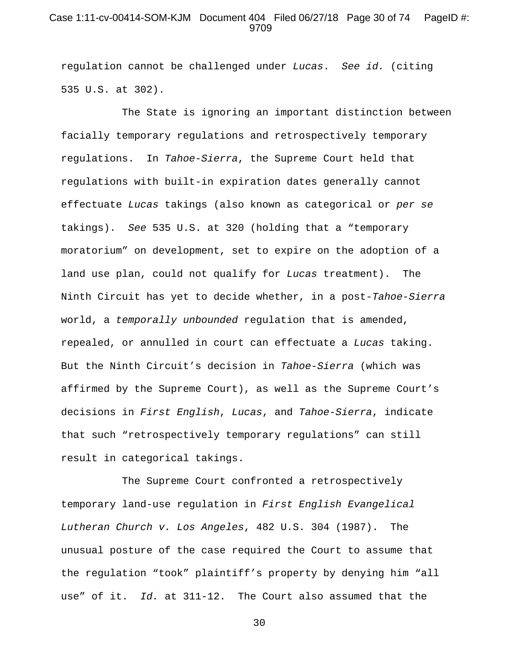### Case 1:11-cv-00414-SOM-KJM Document 404 Filed 06/27/18 Page 30 of 74 PageID #: 9709

regulation cannot be challenged under *Lucas*. *See id.* (citing 535 U.S. at 302).

The State is ignoring an important distinction between facially temporary regulations and retrospectively temporary regulations. In *Tahoe-Sierra*, the Supreme Court held that regulations with built-in expiration dates generally cannot effectuate *Lucas* takings (also known as categorical or *per se*  takings). *See* 535 U.S. at 320 (holding that a "temporary moratorium" on development, set to expire on the adoption of a land use plan, could not qualify for *Lucas* treatment). The Ninth Circuit has yet to decide whether, in a post-*Tahoe-Sierra*  world, a *temporally unbounded* regulation that is amended, repealed, or annulled in court can effectuate a *Lucas* taking. But the Ninth Circuit's decision in *Tahoe-Sierra* (which was affirmed by the Supreme Court), as well as the Supreme Court's decisions in *First English*, *Lucas*, and *Tahoe-Sierra*, indicate that such "retrospectively temporary regulations" can still result in categorical takings.

The Supreme Court confronted a retrospectively temporary land-use regulation in *First English Evangelical Lutheran Church v. Los Angeles*, 482 U.S. 304 (1987). The unusual posture of the case required the Court to assume that the regulation "took" plaintiff's property by denying him "all use" of it. *Id.* at 311-12. The Court also assumed that the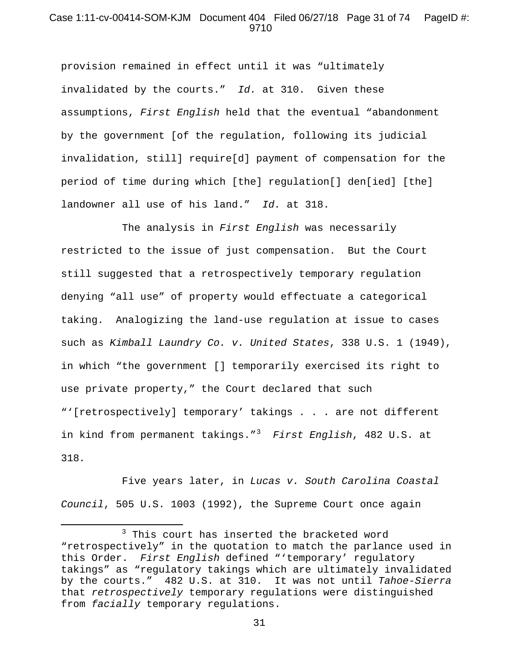### Case 1:11-cv-00414-SOM-KJM Document 404 Filed 06/27/18 Page 31 of 74 PageID #: 9710

provision remained in effect until it was "ultimately invalidated by the courts." *Id.* at 310. Given these assumptions, *First English* held that the eventual "abandonment by the government [of the regulation, following its judicial invalidation, still] require[d] payment of compensation for the period of time during which [the] regulation[] den[ied] [the] landowner all use of his land." *Id.* at 318.

The analysis in *First English* was necessarily restricted to the issue of just compensation. But the Court still suggested that a retrospectively temporary regulation denying "all use" of property would effectuate a categorical taking. Analogizing the land-use regulation at issue to cases such as *Kimball Laundry Co. v. United States*, 338 U.S. 1 (1949), in which "the government [] temporarily exercised its right to use private property," the Court declared that such "'[retrospectively] temporary' takings . . . are not different in kind from permanent takings."[3](#page-30-0) *First English*, 482 U.S. at 318*.*

Five years later, in *Lucas v. South Carolina Coastal Council*, 505 U.S. 1003 (1992), the Supreme Court once again

l

<span id="page-30-0"></span><sup>&</sup>lt;sup>3</sup> This court has inserted the bracketed word "retrospectively" in the quotation to match the parlance used in this Order. *First English* defined "'temporary' regulatory takings" as "regulatory takings which are ultimately invalidated by the courts." 482 U.S. at 310. It was not until *Tahoe-Sierra* that *retrospectively* temporary regulations were distinguished from *facially* temporary regulations.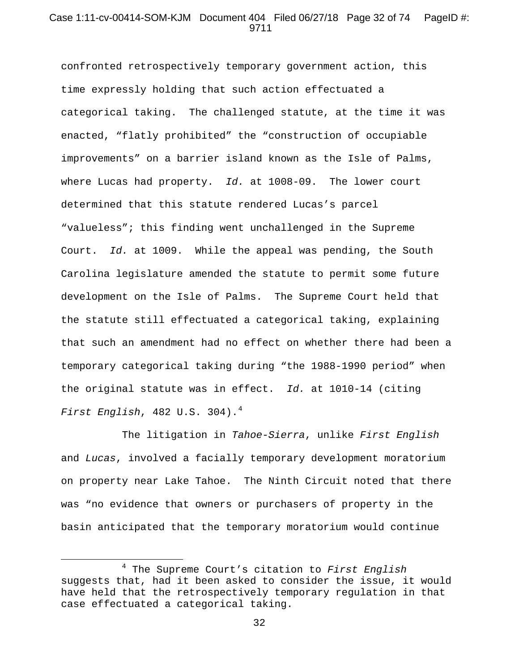## Case 1:11-cv-00414-SOM-KJM Document 404 Filed 06/27/18 Page 32 of 74 PageID #: 9711

confronted retrospectively temporary government action, this time expressly holding that such action effectuated a categorical taking. The challenged statute, at the time it was enacted, "flatly prohibited" the "construction of occupiable improvements" on a barrier island known as the Isle of Palms, where Lucas had property. *Id.* at 1008-09. The lower court determined that this statute rendered Lucas's parcel "valueless"; this finding went unchallenged in the Supreme Court. *Id.* at 1009. While the appeal was pending, the South Carolina legislature amended the statute to permit some future development on the Isle of Palms. The Supreme Court held that the statute still effectuated a categorical taking, explaining that such an amendment had no effect on whether there had been a temporary categorical taking during "the 1988-1990 period" when the original statute was in effect. *Id.* at 1010-14 (citing *First English*, 482 U.S. 304).[4](#page-31-0)

The litigation in *Tahoe-Sierra*, unlike *First English*  and *Lucas*, involved a facially temporary development moratorium on property near Lake Tahoe. The Ninth Circuit noted that there was "no evidence that owners or purchasers of property in the basin anticipated that the temporary moratorium would continue

 $\overline{\phantom{a}}$ 

<span id="page-31-0"></span><sup>4</sup> The Supreme Court's citation to *First English*  suggests that, had it been asked to consider the issue, it would have held that the retrospectively temporary regulation in that case effectuated a categorical taking.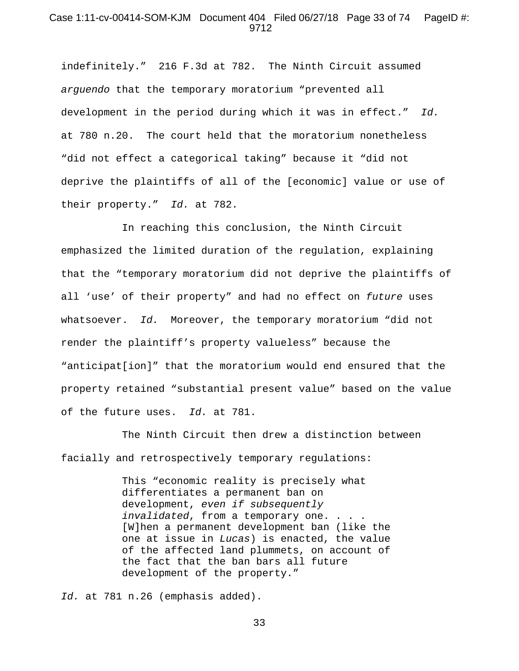#### Case 1:11-cv-00414-SOM-KJM Document 404 Filed 06/27/18 Page 33 of 74 PageID #: 9712

indefinitely." 216 F.3d at 782. The Ninth Circuit assumed *arguendo* that the temporary moratorium "prevented all development in the period during which it was in effect." *Id.* at 780 n.20. The court held that the moratorium nonetheless "did not effect a categorical taking" because it "did not deprive the plaintiffs of all of the [economic] value or use of their property." *Id.* at 782.

In reaching this conclusion, the Ninth Circuit emphasized the limited duration of the regulation, explaining that the "temporary moratorium did not deprive the plaintiffs of all 'use' of their property" and had no effect on *future* uses whatsoever. *Id.* Moreover, the temporary moratorium "did not render the plaintiff's property valueless" because the "anticipat[ion]" that the moratorium would end ensured that the property retained "substantial present value" based on the value of the future uses. *Id.* at 781.

The Ninth Circuit then drew a distinction between facially and retrospectively temporary regulations:

> This "economic reality is precisely what differentiates a permanent ban on development, *even if subsequently invalidated*, from a temporary one. . . . [W]hen a permanent development ban (like the one at issue in *Lucas*) is enacted, the value of the affected land plummets, on account of the fact that the ban bars all future development of the property."

*Id.* at 781 n.26 (emphasis added).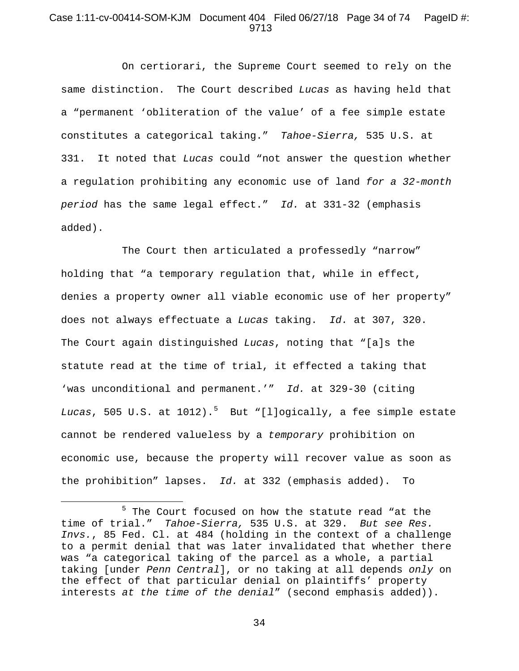### Case 1:11-cv-00414-SOM-KJM Document 404 Filed 06/27/18 Page 34 of 74 PageID #: 9713

On certiorari, the Supreme Court seemed to rely on the same distinction. The Court described *Lucas* as having held that a "permanent 'obliteration of the value' of a fee simple estate constitutes a categorical taking." *Tahoe-Sierra,* 535 U.S. at 331. It noted that *Lucas* could "not answer the question whether a regulation prohibiting any economic use of land *for a 32-month period* has the same legal effect." *Id.* at 331-32 (emphasis added).

The Court then articulated a professedly "narrow" holding that "a temporary regulation that, while in effect, denies a property owner all viable economic use of her property" does not always effectuate a *Lucas* taking. *Id.* at 307, 320. The Court again distinguished *Lucas*, noting that "[a]s the statute read at the time of trial, it effected a taking that 'was unconditional and permanent.'" *Id.* at 329-30 (citing L*ucas*, [5](#page-33-0)05 U.S. at 1012).<sup>5</sup> But "[l]ogically, a fee simple estate cannot be rendered valueless by a *temporary* prohibition on economic use, because the property will recover value as soon as the prohibition" lapses. *Id.* at 332 (emphasis added). To

 $\overline{\phantom{a}}$ 

<span id="page-33-0"></span><sup>&</sup>lt;sup>5</sup> The Court focused on how the statute read "at the time of trial." *Tahoe-Sierra,* 535 U.S. at 329. *But see Res. Invs.*, 85 Fed. Cl. at 484 (holding in the context of a challenge to a permit denial that was later invalidated that whether there was "a categorical taking of the parcel as a whole, a partial taking [under *Penn Central*], or no taking at all depends *only* on the effect of that particular denial on plaintiffs' property interests *at the time of the denial*" (second emphasis added)).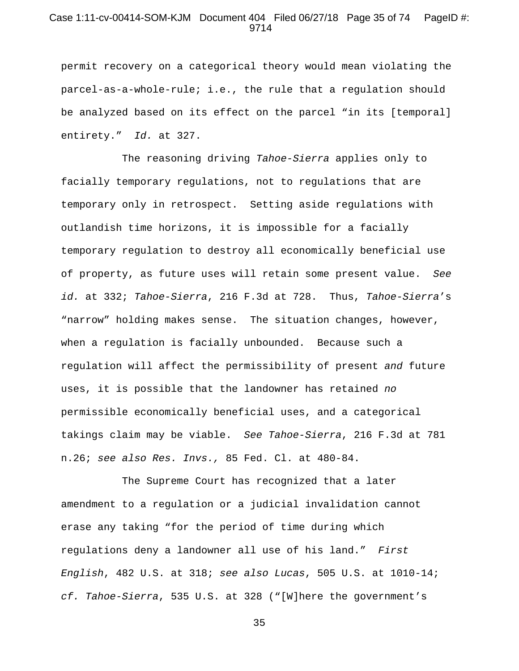### Case 1:11-cv-00414-SOM-KJM Document 404 Filed 06/27/18 Page 35 of 74 PageID #: 9714

permit recovery on a categorical theory would mean violating the parcel-as-a-whole-rule; i.e., the rule that a regulation should be analyzed based on its effect on the parcel "in its [temporal] entirety." *Id.* at 327.

The reasoning driving *Tahoe-Sierra* applies only to facially temporary regulations, not to regulations that are temporary only in retrospect. Setting aside regulations with outlandish time horizons, it is impossible for a facially temporary regulation to destroy all economically beneficial use of property, as future uses will retain some present value. *See id.* at 332; *Tahoe-Sierra*, 216 F.3d at 728. Thus, *Tahoe-Sierra*'s "narrow" holding makes sense. The situation changes, however, when a regulation is facially unbounded. Because such a regulation will affect the permissibility of present *and* future uses, it is possible that the landowner has retained *no* permissible economically beneficial uses, and a categorical takings claim may be viable. *See Tahoe-Sierra*, 216 F.3d at 781 n.26; *see also Res. Invs.,* 85 Fed. Cl. at 480-84.

The Supreme Court has recognized that a later amendment to a regulation or a judicial invalidation cannot erase any taking "for the period of time during which regulations deny a landowner all use of his land." *First English*, 482 U.S. at 318; *see also Lucas*, 505 U.S. at 1010-14; *cf. Tahoe-Sierra*, 535 U.S. at 328 ("[W]here the government's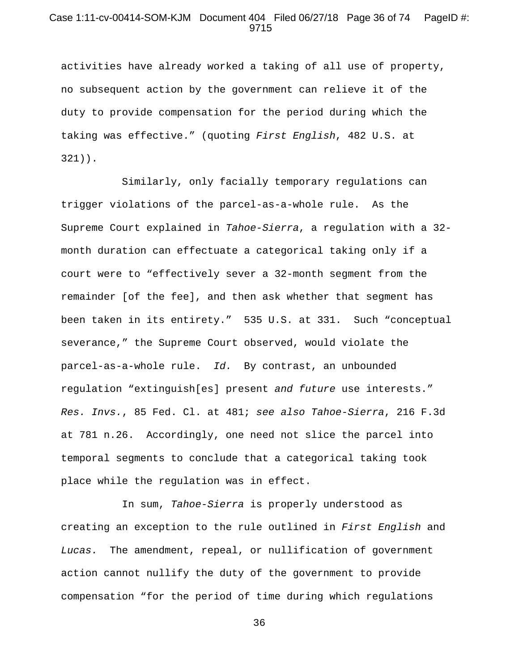## Case 1:11-cv-00414-SOM-KJM Document 404 Filed 06/27/18 Page 36 of 74 PageID #: 9715

activities have already worked a taking of all use of property, no subsequent action by the government can relieve it of the duty to provide compensation for the period during which the taking was effective." (quoting *First English*, 482 U.S. at 321)).

Similarly, only facially temporary regulations can trigger violations of the parcel-as-a-whole rule. As the Supreme Court explained in *Tahoe-Sierra*, a regulation with a 32 month duration can effectuate a categorical taking only if a court were to "effectively sever a 32-month segment from the remainder [of the fee], and then ask whether that segment has been taken in its entirety." 535 U.S. at 331. Such "conceptual severance," the Supreme Court observed, would violate the parcel-as-a-whole rule. *Id.* By contrast, an unbounded regulation "extinguish[es] present *and future* use interests." *Res. Invs.*, 85 Fed. Cl. at 481; *see also Tahoe-Sierra*, 216 F.3d at 781 n.26. Accordingly, one need not slice the parcel into temporal segments to conclude that a categorical taking took place while the regulation was in effect.

In sum, *Tahoe-Sierra* is properly understood as creating an exception to the rule outlined in *First English* and *Lucas.* The amendment, repeal, or nullification of government action cannot nullify the duty of the government to provide compensation "for the period of time during which regulations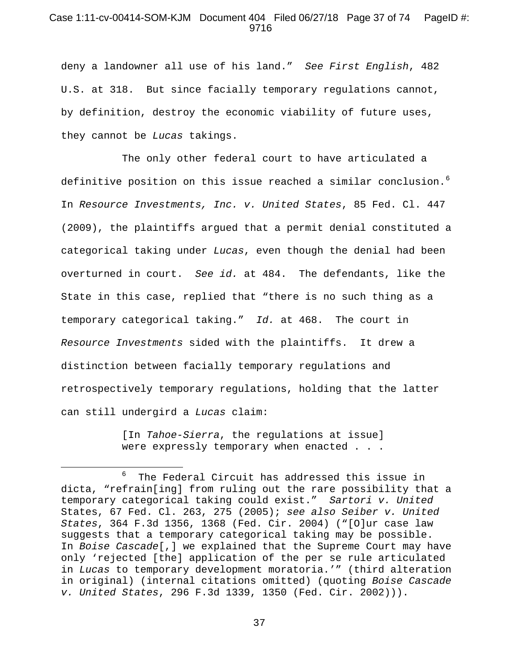#### Case 1:11-cv-00414-SOM-KJM Document 404 Filed 06/27/18 Page 37 of 74 PageID #: 9716

deny a landowner all use of his land." *See First English*, 482 U.S. at 318. But since facially temporary regulations cannot, by definition, destroy the economic viability of future uses, they cannot be *Lucas* takings.

The only other federal court to have articulated a definitive position on this issue reached a similar conclusion.<sup>[6](#page-36-0)</sup> In *Resource Investments, Inc. v. United States*, 85 Fed. Cl. 447 (2009), the plaintiffs argued that a permit denial constituted a categorical taking under *Lucas*, even though the denial had been overturned in court. *See id.* at 484. The defendants, like the State in this case, replied that "there is no such thing as a temporary categorical taking." *Id.* at 468. The court in *Resource Investments* sided with the plaintiffs. It drew a distinction between facially temporary regulations and retrospectively temporary regulations, holding that the latter can still undergird a *Lucas* claim:

> [In *Tahoe-Sierra*, the regulations at issue] were expressly temporary when enacted . . .

 $\overline{\phantom{a}}$ 

<span id="page-36-0"></span> $^6$  The Federal Circuit has addressed this issue in dicta, "refrain[ing] from ruling out the rare possibility that a temporary categorical taking could exist." *Sartori v. United*  States, 67 Fed. Cl. 263, 275 (2005); *see also Seiber v. United States*, 364 F.3d 1356, 1368 (Fed. Cir. 2004) ("[O]ur case law suggests that a temporary categorical taking may be possible. In *Boise Cascade*[,] we explained that the Supreme Court may have only 'rejected [the] application of the per se rule articulated in *Lucas* to temporary development moratoria.'" (third alteration in original) (internal citations omitted) (quoting *Boise Cascade v. United States*, 296 F.3d 1339, 1350 (Fed. Cir. 2002))).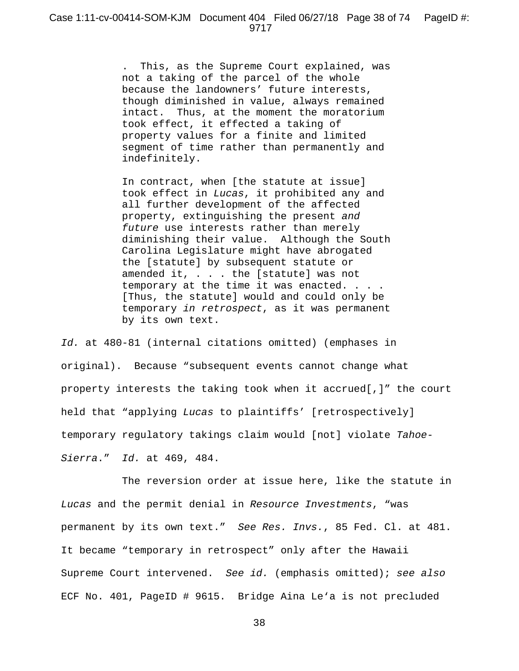. This, as the Supreme Court explained, was not a taking of the parcel of the whole because the landowners' future interests, though diminished in value, always remained intact. Thus, at the moment the moratorium took effect, it effected a taking of property values for a finite and limited segment of time rather than permanently and indefinitely.

In contract, when [the statute at issue] took effect in *Lucas*, it prohibited any and all further development of the affected property, extinguishing the present *and future* use interests rather than merely diminishing their value. Although the South Carolina Legislature might have abrogated the [statute] by subsequent statute or amended it, . . . the [statute] was not temporary at the time it was enacted. . . . [Thus, the statute] would and could only be temporary *in retrospect*, as it was permanent by its own text.

*Id.* at 480-81 (internal citations omitted) (emphases in original). Because "subsequent events cannot change what property interests the taking took when it accrued[,]" the court held that "applying *Lucas* to plaintiffs' [retrospectively] temporary regulatory takings claim would [not] violate *Tahoe-Sierra*." *Id.* at 469, 484.

The reversion order at issue here, like the statute in *Lucas* and the permit denial in *Resource Investments*, "was permanent by its own text." *See Res. Invs.*, 85 Fed. Cl. at 481. It became "temporary in retrospect" only after the Hawaii Supreme Court intervened. *See id.* (emphasis omitted); *see also* ECF No. 401, PageID # 9615. Bridge Aina Le'a is not precluded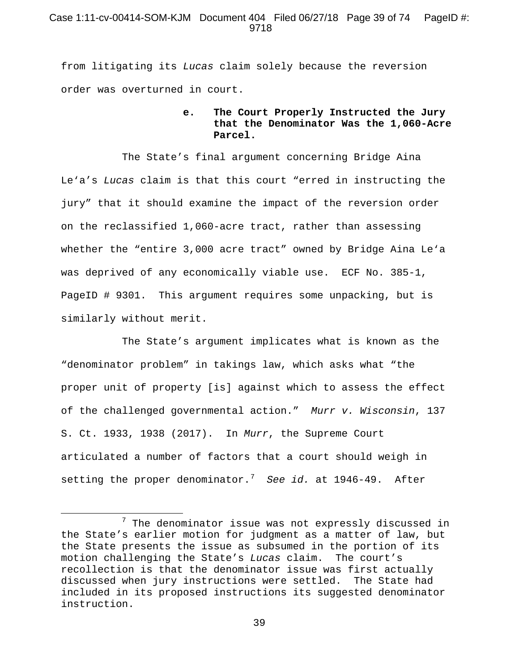## Case 1:11-cv-00414-SOM-KJM Document 404 Filed 06/27/18 Page 39 of 74 PageID #: 9718

from litigating its *Lucas* claim solely because the reversion order was overturned in court.

# **e. The Court Properly Instructed the Jury that the Denominator Was the 1,060-Acre Parcel.**

The State's final argument concerning Bridge Aina Le'a's *Lucas* claim is that this court "erred in instructing the jury" that it should examine the impact of the reversion order on the reclassified 1,060-acre tract, rather than assessing whether the "entire 3,000 acre tract" owned by Bridge Aina Le'a was deprived of any economically viable use. ECF No. 385-1, PageID # 9301. This argument requires some unpacking, but is similarly without merit.

The State's argument implicates what is known as the "denominator problem" in takings law, which asks what "the proper unit of property [is] against which to assess the effect of the challenged governmental action." *Murr v. Wisconsin*, 137 S. Ct. 1933, 1938 (2017). In *Murr*, the Supreme Court articulated a number of factors that a court should weigh in setting the proper denominator.[7](#page-38-0) *See id.* at 1946-49. After

 $\overline{\phantom{a}}$ 

<span id="page-38-0"></span> $7$  The denominator issue was not expressly discussed in the State's earlier motion for judgment as a matter of law, but the State presents the issue as subsumed in the portion of its motion challenging the State's *Lucas* claim. The court's recollection is that the denominator issue was first actually discussed when jury instructions were settled. The State had included in its proposed instructions its suggested denominator instruction.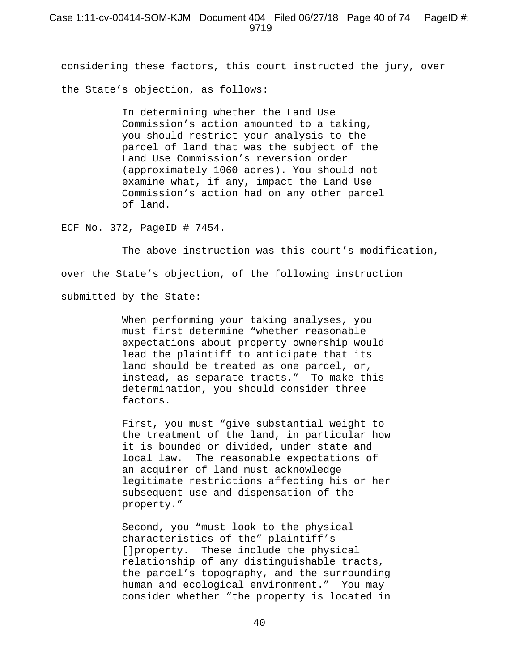considering these factors, this court instructed the jury, over the State's objection, as follows:

> In determining whether the Land Use Commission's action amounted to a taking, you should restrict your analysis to the parcel of land that was the subject of the Land Use Commission's reversion order (approximately 1060 acres). You should not examine what, if any, impact the Land Use Commission's action had on any other parcel of land.

ECF No. 372, PageID # 7454.

The above instruction was this court's modification, over the State's objection, of the following instruction submitted by the State:

> When performing your taking analyses, you must first determine "whether reasonable expectations about property ownership would lead the plaintiff to anticipate that its land should be treated as one parcel, or, instead, as separate tracts." To make this determination, you should consider three factors.

First, you must "give substantial weight to the treatment of the land, in particular how it is bounded or divided, under state and local law. The reasonable expectations of an acquirer of land must acknowledge legitimate restrictions affecting his or her subsequent use and dispensation of the property."

Second, you "must look to the physical characteristics of the" plaintiff's []property. These include the physical relationship of any distinguishable tracts, the parcel's topography, and the surrounding human and ecological environment." You may consider whether "the property is located in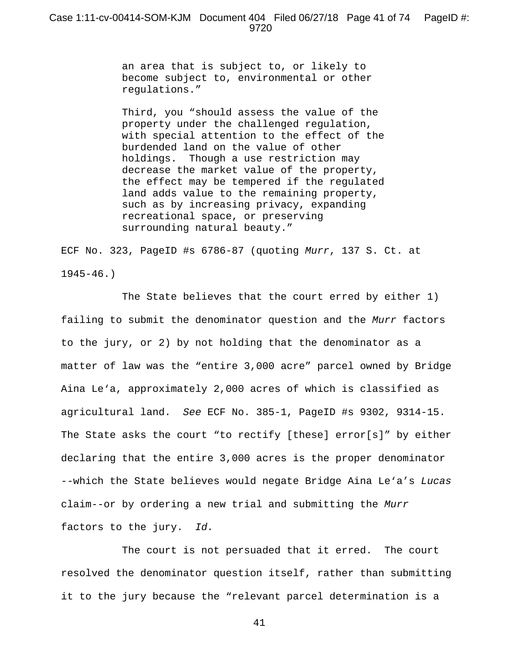an area that is subject to, or likely to become subject to, environmental or other regulations."

Third, you "should assess the value of the property under the challenged regulation, with special attention to the effect of the burdended land on the value of other holdings. Though a use restriction may decrease the market value of the property, the effect may be tempered if the regulated land adds value to the remaining property, such as by increasing privacy, expanding recreational space, or preserving surrounding natural beauty."

ECF No. 323, PageID #s 6786-87 (quoting *Murr*, 137 S. Ct. at 1945-46.)

The State believes that the court erred by either 1) failing to submit the denominator question and the *Murr* factors to the jury, or 2) by not holding that the denominator as a matter of law was the "entire 3,000 acre" parcel owned by Bridge Aina Le'a, approximately 2,000 acres of which is classified as agricultural land. *See* ECF No. 385-1, PageID #s 9302, 9314-15. The State asks the court "to rectify [these] error[s]" by either declaring that the entire 3,000 acres is the proper denominator --which the State believes would negate Bridge Aina Le'a's *Lucas*  claim--or by ordering a new trial and submitting the *Murr*  factors to the jury. *Id.*

The court is not persuaded that it erred. The court resolved the denominator question itself, rather than submitting it to the jury because the "relevant parcel determination is a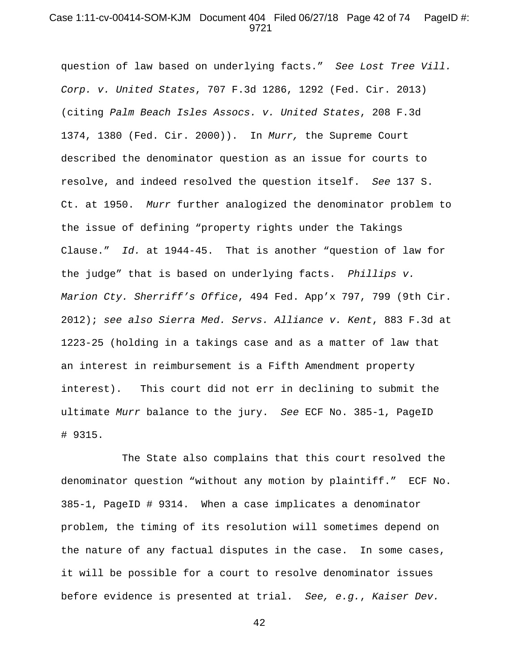#### Case 1:11-cv-00414-SOM-KJM Document 404 Filed 06/27/18 Page 42 of 74 PageID #: 9721

question of law based on underlying facts." *See Lost Tree Vill. Corp. v. United States*, 707 F.3d 1286, 1292 (Fed. Cir. 2013) (citing *Palm Beach Isles Assocs. v. United States*, 208 F.3d 1374, 1380 (Fed. Cir. 2000)). In *Murr,* the Supreme Court described the denominator question as an issue for courts to resolve, and indeed resolved the question itself. *See* 137 S. Ct. at 1950. *Murr* further analogized the denominator problem to the issue of defining "property rights under the Takings Clause." *Id.* at 1944-45. That is another "question of law for the judge" that is based on underlying facts. *Phillips v. Marion Cty. Sherriff's Office*, 494 Fed. App'x 797, 799 (9th Cir. 2012); *see also Sierra Med. Servs. Alliance v. Kent*, 883 F.3d at 1223-25 (holding in a takings case and as a matter of law that an interest in reimbursement is a Fifth Amendment property interest). This court did not err in declining to submit the ultimate *Murr* balance to the jury. *See* ECF No. 385-1, PageID # 9315.

The State also complains that this court resolved the denominator question "without any motion by plaintiff." ECF No. 385-1, PageID # 9314. When a case implicates a denominator problem, the timing of its resolution will sometimes depend on the nature of any factual disputes in the case. In some cases, it will be possible for a court to resolve denominator issues before evidence is presented at trial. *See, e.g.*, *Kaiser Dev.*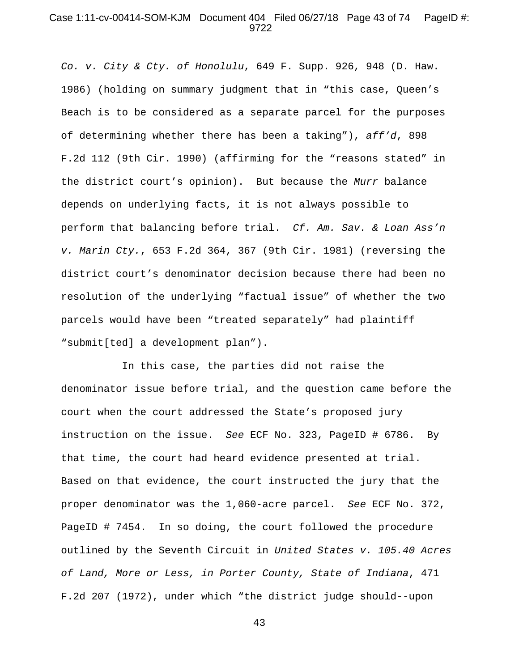## Case 1:11-cv-00414-SOM-KJM Document 404 Filed 06/27/18 Page 43 of 74 PageID #: 9722

*Co. v. City & Cty. of Honolulu*, 649 F. Supp. 926, 948 (D. Haw. 1986) (holding on summary judgment that in "this case, Queen's Beach is to be considered as a separate parcel for the purposes of determining whether there has been a taking"), *aff'd*, 898 F.2d 112 (9th Cir. 1990) (affirming for the "reasons stated" in the district court's opinion). But because the *Murr* balance depends on underlying facts, it is not always possible to perform that balancing before trial. *Cf. Am. Sav. & Loan Ass'n v. Marin Cty.*, 653 F.2d 364, 367 (9th Cir. 1981) (reversing the district court's denominator decision because there had been no resolution of the underlying "factual issue" of whether the two parcels would have been "treated separately" had plaintiff "submit[ted] a development plan").

In this case, the parties did not raise the denominator issue before trial, and the question came before the court when the court addressed the State's proposed jury instruction on the issue. *See* ECF No. 323, PageID # 6786. By that time, the court had heard evidence presented at trial. Based on that evidence, the court instructed the jury that the proper denominator was the 1,060-acre parcel. *See* ECF No. 372, PageID # 7454. In so doing, the court followed the procedure outlined by the Seventh Circuit in *United States v. 105.40 Acres of Land, More or Less, in Porter County, State of Indiana*, 471 F.2d 207 (1972), under which "the district judge should--upon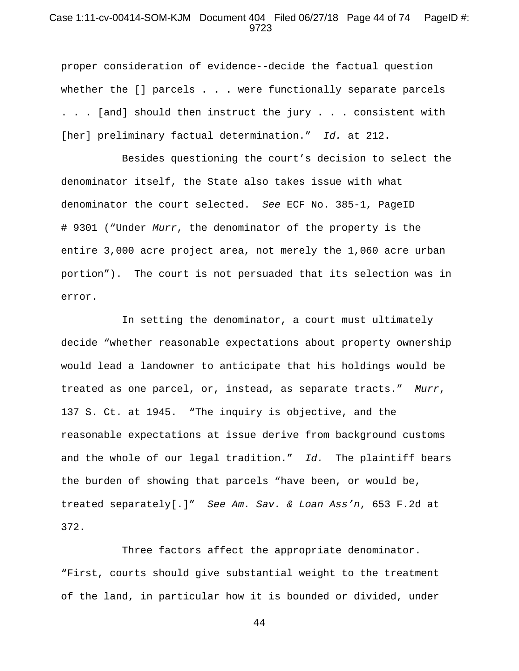# Case 1:11-cv-00414-SOM-KJM Document 404 Filed 06/27/18 Page 44 of 74 PageID #: 9723

proper consideration of evidence--decide the factual question whether the [] parcels . . . were functionally separate parcels . . . [and] should then instruct the jury . . . consistent with [her] preliminary factual determination." *Id.* at 212.

Besides questioning the court's decision to select the denominator itself, the State also takes issue with what denominator the court selected. *See* ECF No. 385-1, PageID # 9301 ("Under *Murr*, the denominator of the property is the entire 3,000 acre project area, not merely the 1,060 acre urban portion"). The court is not persuaded that its selection was in error.

In setting the denominator, a court must ultimately decide "whether reasonable expectations about property ownership would lead a landowner to anticipate that his holdings would be treated as one parcel, or, instead, as separate tracts." *Murr*, 137 S. Ct. at 1945. "The inquiry is objective, and the reasonable expectations at issue derive from background customs and the whole of our legal tradition." *Id.* The plaintiff bears the burden of showing that parcels "have been, or would be, treated separately[.]" *See Am. Sav. & Loan Ass'n*, 653 F.2d at 372.

Three factors affect the appropriate denominator. "First, courts should give substantial weight to the treatment of the land, in particular how it is bounded or divided, under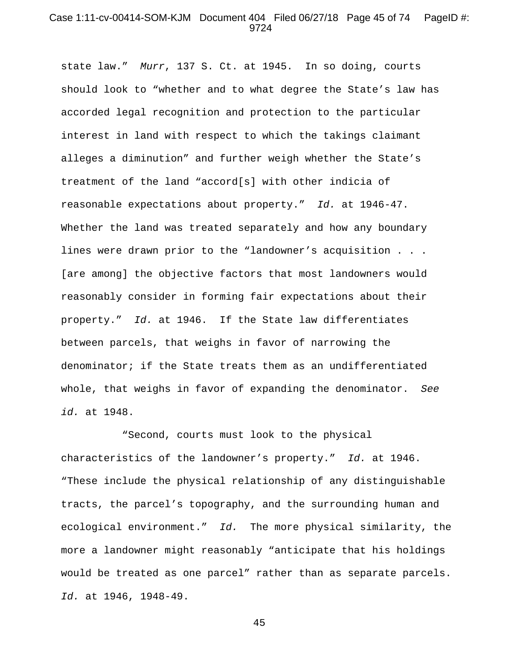#### Case 1:11-cv-00414-SOM-KJM Document 404 Filed 06/27/18 Page 45 of 74 PageID #: 9724

state law." *Murr*, 137 S. Ct. at 1945. In so doing, courts should look to "whether and to what degree the State's law has accorded legal recognition and protection to the particular interest in land with respect to which the takings claimant alleges a diminution" and further weigh whether the State's treatment of the land "accord[s] with other indicia of reasonable expectations about property." *Id.* at 1946-47. Whether the land was treated separately and how any boundary lines were drawn prior to the "landowner's acquisition . . . [are among] the objective factors that most landowners would reasonably consider in forming fair expectations about their property." *Id.* at 1946. If the State law differentiates between parcels, that weighs in favor of narrowing the denominator; if the State treats them as an undifferentiated whole, that weighs in favor of expanding the denominator. *See id.* at 1948.

"Second, courts must look to the physical characteristics of the landowner's property." *Id.* at 1946. "These include the physical relationship of any distinguishable tracts, the parcel's topography, and the surrounding human and ecological environment." *Id.* The more physical similarity, the more a landowner might reasonably "anticipate that his holdings would be treated as one parcel" rather than as separate parcels. *Id.* at 1946, 1948-49.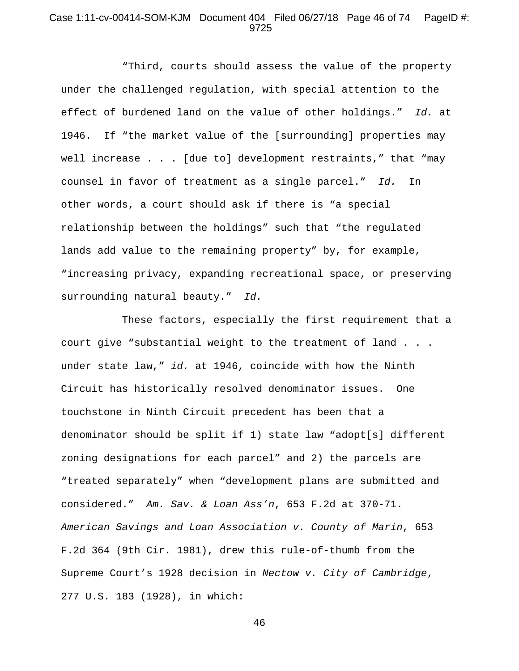# Case 1:11-cv-00414-SOM-KJM Document 404 Filed 06/27/18 Page 46 of 74 PageID #: 9725

"Third, courts should assess the value of the property under the challenged regulation, with special attention to the effect of burdened land on the value of other holdings." *Id.* at 1946. If "the market value of the [surrounding] properties may well increase . . . [due to] development restraints," that "may counsel in favor of treatment as a single parcel." *Id.* In other words, a court should ask if there is "a special relationship between the holdings" such that "the regulated lands add value to the remaining property" by, for example, "increasing privacy, expanding recreational space, or preserving surrounding natural beauty." *Id.*

These factors, especially the first requirement that a court give "substantial weight to the treatment of land . . . under state law," *id.* at 1946, coincide with how the Ninth Circuit has historically resolved denominator issues. One touchstone in Ninth Circuit precedent has been that a denominator should be split if 1) state law "adopt[s] different zoning designations for each parcel" and 2) the parcels are "treated separately" when "development plans are submitted and considered." *Am. Sav. & Loan Ass'n*, 653 F.2d at 370-71. *American Savings and Loan Association v. County of Marin*, 653 F.2d 364 (9th Cir. 1981), drew this rule-of-thumb from the Supreme Court's 1928 decision in *Nectow v. City of Cambridge*, 277 U.S. 183 (1928), in which: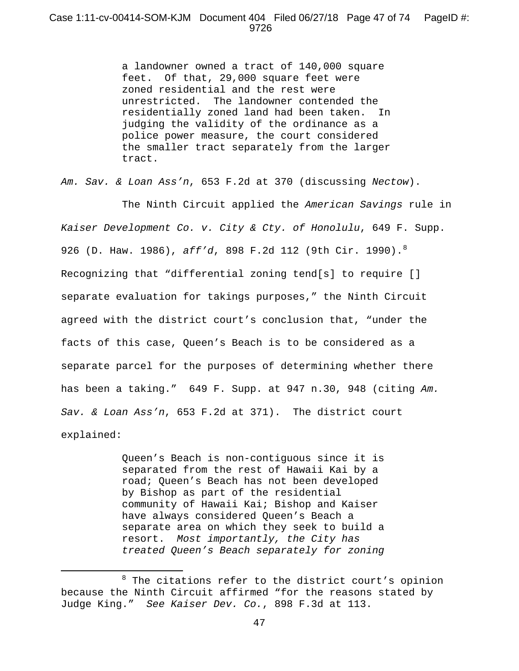a landowner owned a tract of 140,000 square feet. Of that, 29,000 square feet were zoned residential and the rest were unrestricted. The landowner contended the residentially zoned land had been taken. In judging the validity of the ordinance as a police power measure, the court considered the smaller tract separately from the larger tract.

*Am. Sav. & Loan Ass'n*, 653 F.2d at 370 (discussing *Nectow*).

The Ninth Circuit applied the *American Savings* rule in *Kaiser Development Co. v. City & Cty. of Honolulu*, 649 F. Supp. 926 (D. Haw. 1986), *aff'd*, 898 F.2d 112 (9th Cir. 1990).[8](#page-46-0) Recognizing that "differential zoning tend[s] to require [] separate evaluation for takings purposes," the Ninth Circuit agreed with the district court's conclusion that, "under the facts of this case, Queen's Beach is to be considered as a separate parcel for the purposes of determining whether there has been a taking." 649 F. Supp. at 947 n.30, 948 (citing *Am. Sav. & Loan Ass'n*, 653 F.2d at 371). The district court explained:

> Queen's Beach is non-contiguous since it is separated from the rest of Hawaii Kai by a road; Queen's Beach has not been developed by Bishop as part of the residential community of Hawaii Kai; Bishop and Kaiser have always considered Queen's Beach a separate area on which they seek to build a resort. *Most importantly, the City has treated Queen's Beach separately for zoning*

 $\overline{\phantom{a}}$ 

<span id="page-46-0"></span> $8$  The citations refer to the district court's opinion because the Ninth Circuit affirmed "for the reasons stated by Judge King." *See Kaiser Dev. Co.*, 898 F.3d at 113.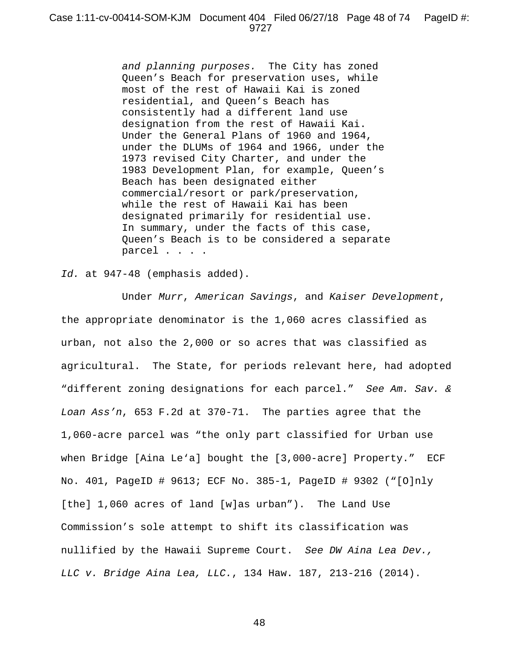*and planning purposes.* The City has zoned Queen's Beach for preservation uses, while most of the rest of Hawaii Kai is zoned residential, and Queen's Beach has consistently had a different land use designation from the rest of Hawaii Kai. Under the General Plans of 1960 and 1964, under the DLUMs of 1964 and 1966, under the 1973 revised City Charter, and under the 1983 Development Plan, for example, Queen's Beach has been designated either commercial/resort or park/preservation, while the rest of Hawaii Kai has been designated primarily for residential use. In summary, under the facts of this case, Queen's Beach is to be considered a separate parcel . . . .

#### *Id.* at 947-48 (emphasis added).

Under *Murr*, *American Savings*, and *Kaiser Development*, the appropriate denominator is the 1,060 acres classified as urban, not also the 2,000 or so acres that was classified as agricultural. The State, for periods relevant here, had adopted "different zoning designations for each parcel." *See Am. Sav. & Loan Ass'n*, 653 F.2d at 370-71. The parties agree that the 1,060-acre parcel was "the only part classified for Urban use when Bridge [Aina Le'a] bought the [3,000-acre] Property." ECF No. 401, PageID # 9613; ECF No. 385-1, PageID # 9302 ("[O]nly [the] 1,060 acres of land [w]as urban"). The Land Use Commission's sole attempt to shift its classification was nullified by the Hawaii Supreme Court. *See DW Aina Lea Dev., LLC v. Bridge Aina Lea, LLC.*, 134 Haw. 187, 213-216 (2014).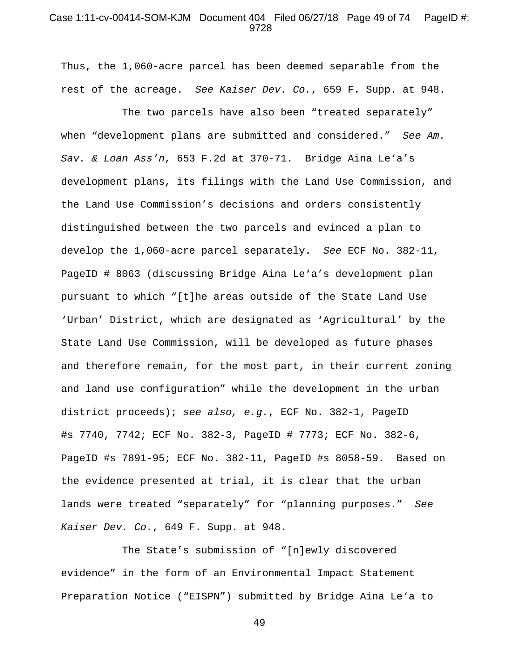## Case 1:11-cv-00414-SOM-KJM Document 404 Filed 06/27/18 Page 49 of 74 PageID #: 9728

Thus, the 1,060-acre parcel has been deemed separable from the rest of the acreage. *See Kaiser Dev. Co.*, 659 F. Supp. at 948.

The two parcels have also been "treated separately" when "development plans are submitted and considered." *See Am. Sav. & Loan Ass'n*, 653 F.2d at 370-71. Bridge Aina Le'a's development plans, its filings with the Land Use Commission, and the Land Use Commission's decisions and orders consistently distinguished between the two parcels and evinced a plan to develop the 1,060-acre parcel separately. *See* ECF No. 382-11, PageID # 8063 (discussing Bridge Aina Le'a's development plan pursuant to which "[t]he areas outside of the State Land Use 'Urban' District, which are designated as 'Agricultural' by the State Land Use Commission, will be developed as future phases and therefore remain, for the most part, in their current zoning and land use configuration" while the development in the urban district proceeds); *see also, e.g.*, ECF No. 382-1, PageID #s 7740, 7742; ECF No. 382-3, PageID # 7773; ECF No. 382-6, PageID #s 7891-95; ECF No. 382-11, PageID #s 8058-59. Based on the evidence presented at trial, it is clear that the urban lands were treated "separately" for "planning purposes." *See Kaiser Dev. Co.*, 649 F. Supp. at 948.

The State's submission of "[n]ewly discovered evidence" in the form of an Environmental Impact Statement Preparation Notice ("EISPN") submitted by Bridge Aina Le'a to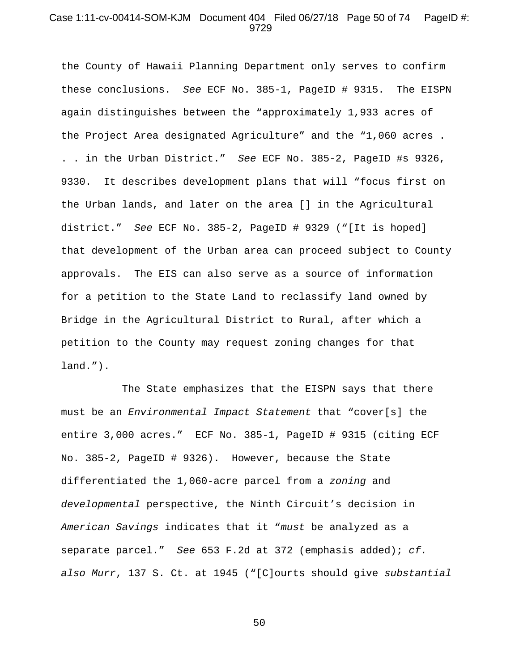## Case 1:11-cv-00414-SOM-KJM Document 404 Filed 06/27/18 Page 50 of 74 PageID #: 9729

the County of Hawaii Planning Department only serves to confirm these conclusions. *See* ECF No. 385-1, PageID # 9315. The EISPN again distinguishes between the "approximately 1,933 acres of the Project Area designated Agriculture" and the "1,060 acres . . . in the Urban District." *See* ECF No. 385-2, PageID #s 9326, 9330. It describes development plans that will "focus first on the Urban lands, and later on the area [] in the Agricultural district." *See* ECF No. 385-2, PageID # 9329 ("[It is hoped] that development of the Urban area can proceed subject to County approvals. The EIS can also serve as a source of information for a petition to the State Land to reclassify land owned by Bridge in the Agricultural District to Rural, after which a petition to the County may request zoning changes for that land.").

The State emphasizes that the EISPN says that there must be an *Environmental Impact Statement* that "cover[s] the entire 3,000 acres." ECF No. 385-1, PageID # 9315 (citing ECF No. 385-2, PageID # 9326). However, because the State differentiated the 1,060-acre parcel from a *zoning* and *developmental* perspective, the Ninth Circuit's decision in *American Savings* indicates that it "*must* be analyzed as a separate parcel." *See* 653 F.2d at 372 (emphasis added); *cf. also Murr*, 137 S. Ct. at 1945 ("[C]ourts should give *substantial*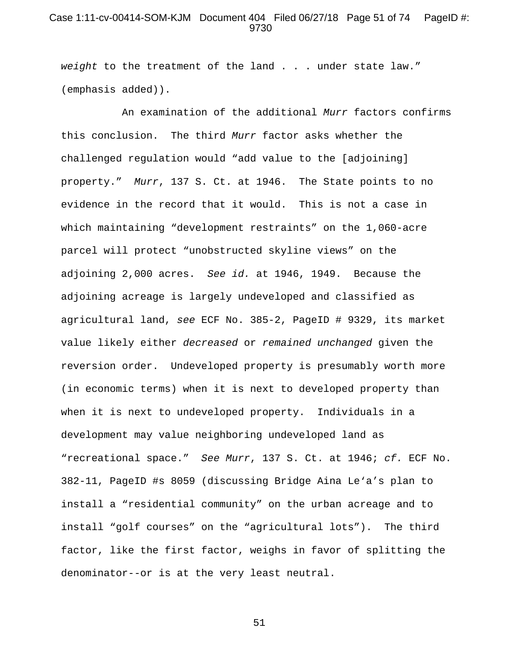# Case 1:11-cv-00414-SOM-KJM Document 404 Filed 06/27/18 Page 51 of 74 PageID #: 9730

*weight* to the treatment of the land . . . under state law." (emphasis added)).

An examination of the additional *Murr* factors confirms this conclusion. The third *Murr* factor asks whether the challenged regulation would "add value to the [adjoining] property." *Murr*, 137 S. Ct. at 1946. The State points to no evidence in the record that it would. This is not a case in which maintaining "development restraints" on the 1,060-acre parcel will protect "unobstructed skyline views" on the adjoining 2,000 acres. *See id.* at 1946, 1949. Because the adjoining acreage is largely undeveloped and classified as agricultural land, *see* ECF No. 385-2, PageID # 9329, its market value likely either *decreased* or *remained unchanged* given the reversion order. Undeveloped property is presumably worth more (in economic terms) when it is next to developed property than when it is next to undeveloped property. Individuals in a development may value neighboring undeveloped land as "recreational space." *See Murr*, 137 S. Ct. at 1946; *cf.* ECF No. 382-11, PageID #s 8059 (discussing Bridge Aina Le'a's plan to install a "residential community" on the urban acreage and to install "golf courses" on the "agricultural lots"). The third factor, like the first factor, weighs in favor of splitting the denominator--or is at the very least neutral.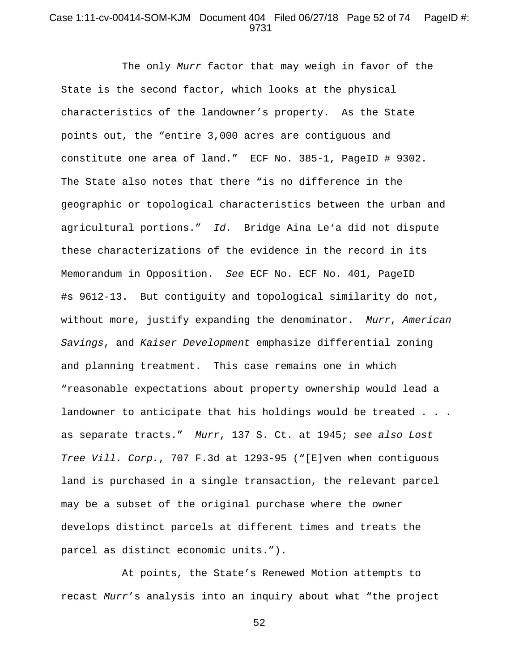# Case 1:11-cv-00414-SOM-KJM Document 404 Filed 06/27/18 Page 52 of 74 PageID #: 9731

The only *Murr* factor that may weigh in favor of the State is the second factor, which looks at the physical characteristics of the landowner's property. As the State points out, the "entire 3,000 acres are contiguous and constitute one area of land." ECF No. 385-1, PageID # 9302. The State also notes that there "is no difference in the geographic or topological characteristics between the urban and agricultural portions." *Id.* Bridge Aina Le'a did not dispute these characterizations of the evidence in the record in its Memorandum in Opposition. *See* ECF No. ECF No. 401, PageID #s 9612-13. But contiguity and topological similarity do not, without more, justify expanding the denominator. *Murr*, *American Savings*, and *Kaiser Development* emphasize differential zoning and planning treatment. This case remains one in which "reasonable expectations about property ownership would lead a landowner to anticipate that his holdings would be treated . . . as separate tracts." *Murr*, 137 S. Ct. at 1945; *see also Lost Tree Vill. Corp.*, 707 F.3d at 1293-95 ("[E]ven when contiguous land is purchased in a single transaction, the relevant parcel may be a subset of the original purchase where the owner develops distinct parcels at different times and treats the parcel as distinct economic units.").

At points, the State's Renewed Motion attempts to recast *Murr*'s analysis into an inquiry about what "the project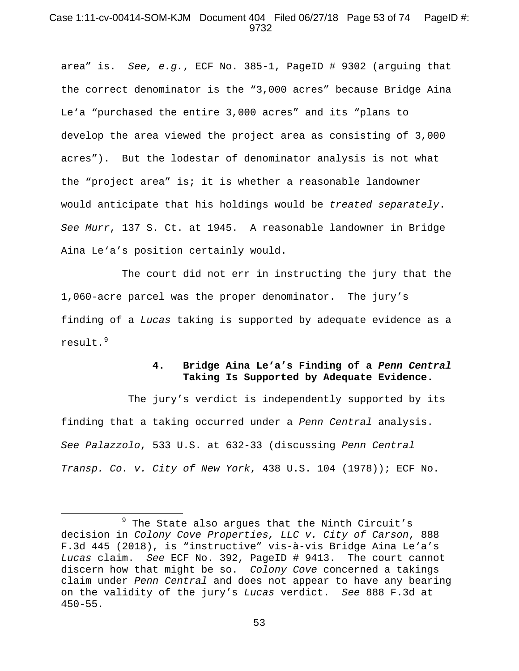## Case 1:11-cv-00414-SOM-KJM Document 404 Filed 06/27/18 Page 53 of 74 PageID #: 9732

area" is. *See, e.g.*, ECF No. 385-1, PageID # 9302 (arguing that the correct denominator is the "3,000 acres" because Bridge Aina Le'a "purchased the entire 3,000 acres" and its "plans to develop the area viewed the project area as consisting of 3,000 acres"). But the lodestar of denominator analysis is not what the "project area" is; it is whether a reasonable landowner would anticipate that his holdings would be *treated separately*. *See Murr*, 137 S. Ct. at 1945. A reasonable landowner in Bridge Aina Le'a's position certainly would.

The court did not err in instructing the jury that the 1,060-acre parcel was the proper denominator. The jury's finding of a *Lucas* taking is supported by adequate evidence as a result.<sup>[9](#page-52-0)</sup>

# **4. Bridge Aina Le'a's Finding of a** *Penn Central*  **Taking Is Supported by Adequate Evidence.**

The jury's verdict is independently supported by its finding that a taking occurred under a *Penn Central* analysis. *See Palazzolo*, 533 U.S. at 632-33 (discussing *Penn Central Transp. Co. v. City of New York*, 438 U.S. 104 (1978)); ECF No.

 $\overline{\phantom{a}}$ 

<span id="page-52-0"></span>The State also argues that the Ninth Circuit's decision in *Colony Cove Properties, LLC v. City of Carson*, 888 F.3d 445 (2018), is "instructive" vis-à-vis Bridge Aina Le'a's *Lucas* claim. *See* ECF No. 392, PageID # 9413. The court cannot discern how that might be so. *Colony Cove* concerned a takings claim under *Penn Central* and does not appear to have any bearing on the validity of the jury's *Lucas* verdict. *See* 888 F.3d at 450-55.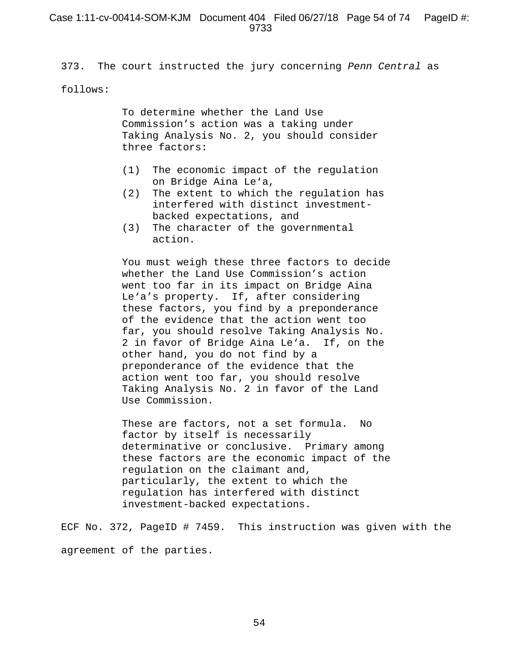373. The court instructed the jury concerning *Penn Central* as

#### follows:

To determine whether the Land Use Commission's action was a taking under Taking Analysis No. 2, you should consider three factors:

- (1) The economic impact of the regulation on Bridge Aina Le'a,
- (2) The extent to which the regulation has interfered with distinct investmentbacked expectations, and
- (3) The character of the governmental action.

You must weigh these three factors to decide whether the Land Use Commission's action went too far in its impact on Bridge Aina Le'a's property. If, after considering these factors, you find by a preponderance of the evidence that the action went too far, you should resolve Taking Analysis No. 2 in favor of Bridge Aina Le'a. If, on the other hand, you do not find by a preponderance of the evidence that the action went too far, you should resolve Taking Analysis No. 2 in favor of the Land Use Commission.

These are factors, not a set formula. No factor by itself is necessarily determinative or conclusive. Primary among these factors are the economic impact of the regulation on the claimant and, particularly, the extent to which the regulation has interfered with distinct investment-backed expectations.

ECF No. 372, PageID # 7459. This instruction was given with the agreement of the parties.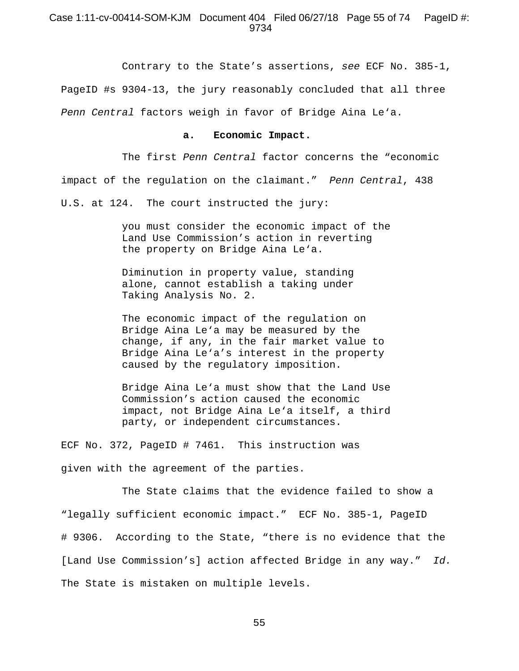#### Case 1:11-cv-00414-SOM-KJM Document 404 Filed 06/27/18 Page 55 of 74 PageID #: 9734

Contrary to the State's assertions, *see* ECF No. 385-1, PageID #s 9304-13, the jury reasonably concluded that all three

*Penn Central* factors weigh in favor of Bridge Aina Le'a.

## **a. Economic Impact.**

The first *Penn Central* factor concerns the "economic impact of the regulation on the claimant." *Penn Central*, 438

U.S. at 124. The court instructed the jury:

you must consider the economic impact of the Land Use Commission's action in reverting the property on Bridge Aina Le'a.

Diminution in property value, standing alone, cannot establish a taking under Taking Analysis No. 2.

The economic impact of the regulation on Bridge Aina Le'a may be measured by the change, if any, in the fair market value to Bridge Aina Le'a's interest in the property caused by the regulatory imposition.

Bridge Aina Le'a must show that the Land Use Commission's action caused the economic impact, not Bridge Aina Le'a itself, a third party, or independent circumstances.

ECF No. 372, PageID # 7461. This instruction was given with the agreement of the parties.

The State claims that the evidence failed to show a "legally sufficient economic impact." ECF No. 385-1, PageID # 9306. According to the State, "there is no evidence that the [Land Use Commission's] action affected Bridge in any way." *Id.* The State is mistaken on multiple levels.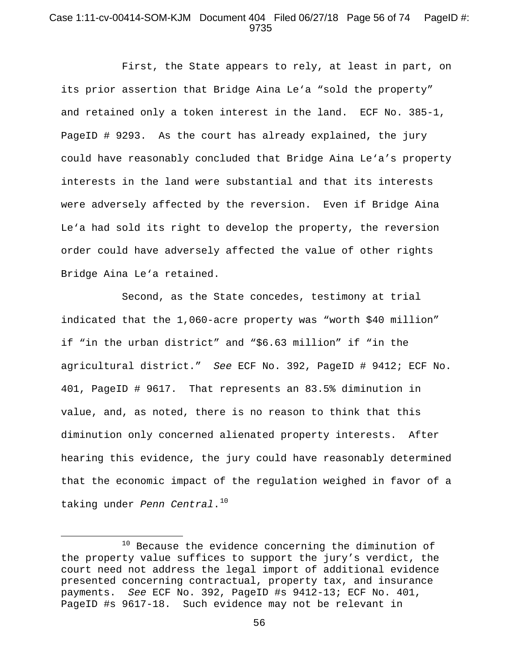## Case 1:11-cv-00414-SOM-KJM Document 404 Filed 06/27/18 Page 56 of 74 PageID #: 9735

First, the State appears to rely, at least in part, on its prior assertion that Bridge Aina Le'a "sold the property" and retained only a token interest in the land. ECF No. 385-1, PageID # 9293. As the court has already explained, the jury could have reasonably concluded that Bridge Aina Le'a's property interests in the land were substantial and that its interests were adversely affected by the reversion. Even if Bridge Aina Le'a had sold its right to develop the property, the reversion order could have adversely affected the value of other rights Bridge Aina Le'a retained.

Second, as the State concedes, testimony at trial indicated that the 1,060-acre property was "worth \$40 million" if "in the urban district" and "\$6.63 million" if "in the agricultural district." *See* ECF No. 392, PageID # 9412; ECF No. 401, PageID # 9617. That represents an 83.5% diminution in value, and, as noted, there is no reason to think that this diminution only concerned alienated property interests. After hearing this evidence, the jury could have reasonably determined that the economic impact of the regulation weighed in favor of a taking under *Penn Central*.<sup>[10](#page-55-0)</sup>

l

<span id="page-55-0"></span> $10$  Because the evidence concerning the diminution of the property value suffices to support the jury's verdict, the court need not address the legal import of additional evidence presented concerning contractual, property tax, and insurance payments. *See* ECF No. 392, PageID #s 9412-13; ECF No. 401, PageID #s 9617-18. Such evidence may not be relevant in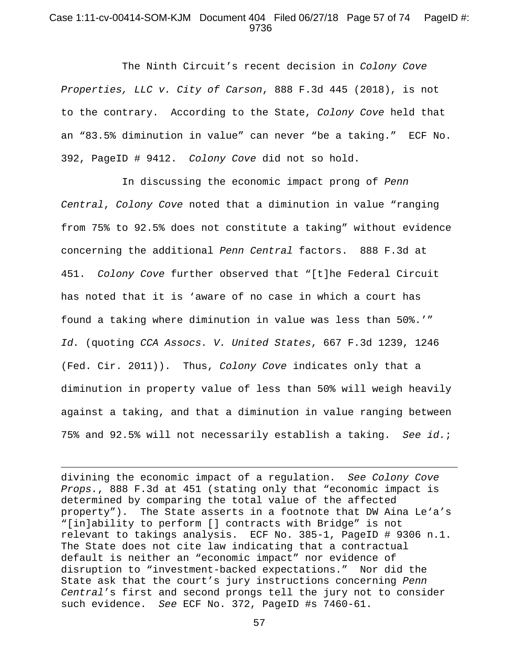## Case 1:11-cv-00414-SOM-KJM Document 404 Filed 06/27/18 Page 57 of 74 PageID #: 9736

The Ninth Circuit's recent decision in *Colony Cove Properties, LLC v. City of Carson*, 888 F.3d 445 (2018), is not to the contrary. According to the State, *Colony Cove* held that an "83.5% diminution in value" can never "be a taking." ECF No. 392, PageID # 9412. *Colony Cove* did not so hold.

In discussing the economic impact prong of *Penn Central*, *Colony Cove* noted that a diminution in value "ranging from 75% to 92.5% does not constitute a taking" without evidence concerning the additional *Penn Central* factors. 888 F.3d at 451. *Colony Cove* further observed that "[t]he Federal Circuit has noted that it is 'aware of no case in which a court has found a taking where diminution in value was less than 50%.'" *Id.* (quoting *CCA Assocs. V. United States*, 667 F.3d 1239, 1246 (Fed. Cir. 2011)). Thus, *Colony Cove* indicates only that a diminution in property value of less than 50% will weigh heavily against a taking, and that a diminution in value ranging between 75% and 92.5% will not necessarily establish a taking. *See id.*;

divining the economic impact of a regulation. *See Colony Cove Props.*, 888 F.3d at 451 (stating only that "economic impact is determined by comparing the total value of the affected property"). The State asserts in a footnote that DW Aina Le'a's "[in]ability to perform [] contracts with Bridge" is not relevant to takings analysis. ECF No. 385-1, PageID # 9306 n.1. The State does not cite law indicating that a contractual default is neither an "economic impact" nor evidence of disruption to "investment-backed expectations." Nor did the State ask that the court's jury instructions concerning *Penn Central*'s first and second prongs tell the jury not to consider such evidence. *See* ECF No. 372, PageID #s 7460-61.

 $\overline{\phantom{a}}$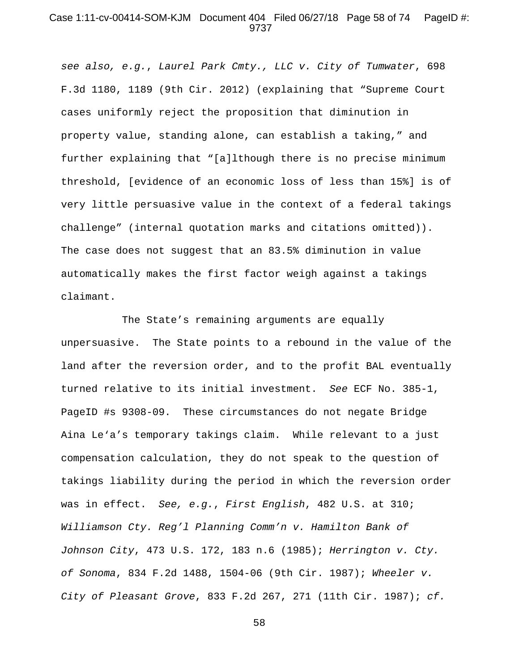#### Case 1:11-cv-00414-SOM-KJM Document 404 Filed 06/27/18 Page 58 of 74 PageID #: 9737

*see also, e.g.*, *Laurel Park Cmty., LLC v. City of Tumwater*, 698 F.3d 1180, 1189 (9th Cir. 2012) (explaining that "Supreme Court cases uniformly reject the proposition that diminution in property value, standing alone, can establish a taking," and further explaining that "[a]lthough there is no precise minimum threshold, [evidence of an economic loss of less than 15%] is of very little persuasive value in the context of a federal takings challenge" (internal quotation marks and citations omitted)). The case does not suggest that an 83.5% diminution in value automatically makes the first factor weigh against a takings claimant.

The State's remaining arguments are equally unpersuasive. The State points to a rebound in the value of the land after the reversion order, and to the profit BAL eventually turned relative to its initial investment. *See* ECF No. 385-1, PageID #s 9308-09. These circumstances do not negate Bridge Aina Le'a's temporary takings claim. While relevant to a just compensation calculation, they do not speak to the question of takings liability during the period in which the reversion order was in effect. *See, e.g.*, *First English*, 482 U.S. at 310; *Williamson Cty. Reg'l Planning Comm'n v. Hamilton Bank of Johnson City*, 473 U.S. 172, 183 n.6 (1985); *Herrington v. Cty. of Sonoma*, 834 F.2d 1488, 1504-06 (9th Cir. 1987); *Wheeler v. City of Pleasant Grove*, 833 F.2d 267, 271 (11th Cir. 1987); *cf.*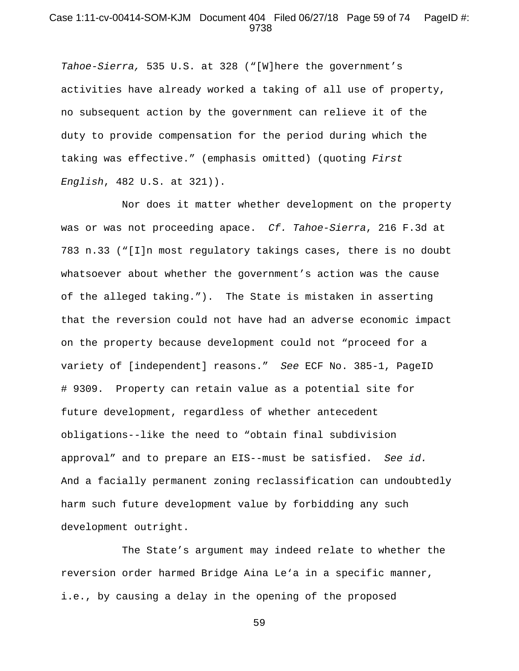## Case 1:11-cv-00414-SOM-KJM Document 404 Filed 06/27/18 Page 59 of 74 PageID #: 9738

*Tahoe-Sierra,* 535 U.S. at 328 ("[W]here the government's activities have already worked a taking of all use of property, no subsequent action by the government can relieve it of the duty to provide compensation for the period during which the taking was effective." (emphasis omitted) (quoting *First English*, 482 U.S. at 321)).

Nor does it matter whether development on the property was or was not proceeding apace. *Cf. Tahoe-Sierra*, 216 F.3d at 783 n.33 ("[I]n most regulatory takings cases, there is no doubt whatsoever about whether the government's action was the cause of the alleged taking."). The State is mistaken in asserting that the reversion could not have had an adverse economic impact on the property because development could not "proceed for a variety of [independent] reasons." *See* ECF No. 385-1, PageID # 9309. Property can retain value as a potential site for future development, regardless of whether antecedent obligations--like the need to "obtain final subdivision approval" and to prepare an EIS--must be satisfied. *See id.*  And a facially permanent zoning reclassification can undoubtedly harm such future development value by forbidding any such development outright.

The State's argument may indeed relate to whether the reversion order harmed Bridge Aina Le'a in a specific manner, i.e., by causing a delay in the opening of the proposed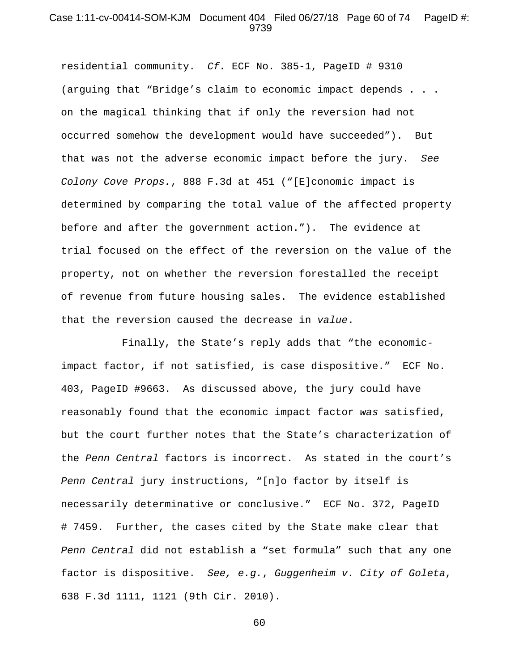#### Case 1:11-cv-00414-SOM-KJM Document 404 Filed 06/27/18 Page 60 of 74 PageID #: 9739

residential community. *Cf.* ECF No. 385-1, PageID # 9310 (arguing that "Bridge's claim to economic impact depends . . . on the magical thinking that if only the reversion had not occurred somehow the development would have succeeded"). But that was not the adverse economic impact before the jury. *See Colony Cove Props.*, 888 F.3d at 451 ("[E]conomic impact is determined by comparing the total value of the affected property before and after the government action."). The evidence at trial focused on the effect of the reversion on the value of the property, not on whether the reversion forestalled the receipt of revenue from future housing sales. The evidence established that the reversion caused the decrease in *value*.

Finally, the State's reply adds that "the economicimpact factor, if not satisfied, is case dispositive." ECF No. 403, PageID #9663. As discussed above, the jury could have reasonably found that the economic impact factor *was* satisfied, but the court further notes that the State's characterization of the *Penn Central* factors is incorrect. As stated in the court's *Penn Central* jury instructions, "[n]o factor by itself is necessarily determinative or conclusive." ECF No. 372, PageID # 7459. Further, the cases cited by the State make clear that *Penn Central* did not establish a "set formula" such that any one factor is dispositive. *See, e.g.*, *Guggenheim v. City of Goleta*, 638 F.3d 1111, 1121 (9th Cir. 2010).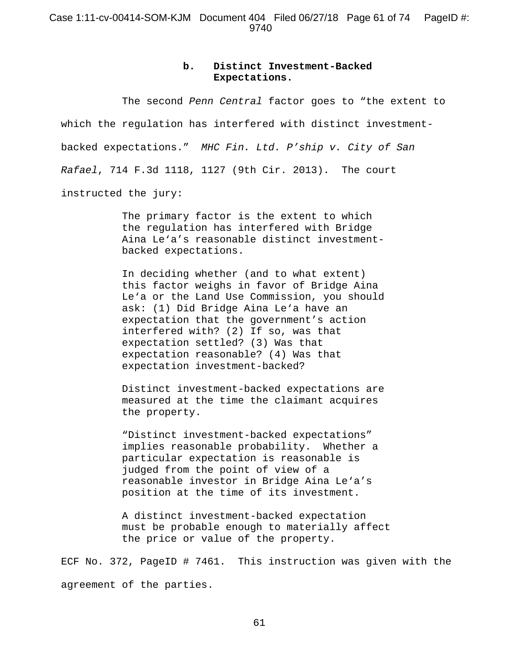# **b. Distinct Investment-Backed Expectations.**

The second *Penn Central* factor goes to "the extent to which the regulation has interfered with distinct investmentbacked expectations." *MHC Fin. Ltd. P'ship v. City of San Rafael*, 714 F.3d 1118, 1127 (9th Cir. 2013). The court instructed the jury:

> The primary factor is the extent to which the regulation has interfered with Bridge Aina Le'a's reasonable distinct investmentbacked expectations.

> In deciding whether (and to what extent) this factor weighs in favor of Bridge Aina Le'a or the Land Use Commission, you should ask: (1) Did Bridge Aina Le'a have an expectation that the government's action interfered with? (2) If so, was that expectation settled? (3) Was that expectation reasonable? (4) Was that expectation investment-backed?

> Distinct investment-backed expectations are measured at the time the claimant acquires the property.

"Distinct investment-backed expectations" implies reasonable probability. Whether a particular expectation is reasonable is judged from the point of view of a reasonable investor in Bridge Aina Le'a's position at the time of its investment.

A distinct investment-backed expectation must be probable enough to materially affect the price or value of the property.

ECF No. 372, PageID # 7461. This instruction was given with the agreement of the parties.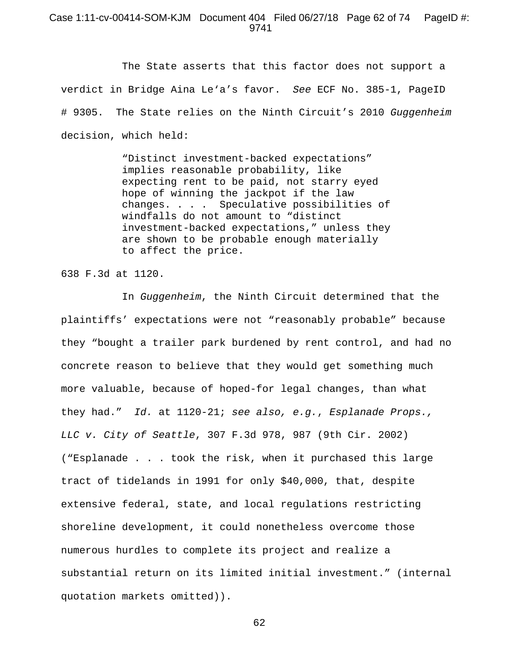#### Case 1:11-cv-00414-SOM-KJM Document 404 Filed 06/27/18 Page 62 of 74 PageID #: 9741

The State asserts that this factor does not support a verdict in Bridge Aina Le'a's favor. *See* ECF No. 385-1, PageID # 9305. The State relies on the Ninth Circuit's 2010 *Guggenheim*  decision, which held:

> "Distinct investment-backed expectations" implies reasonable probability, like expecting rent to be paid, not starry eyed hope of winning the jackpot if the law changes. . . . Speculative possibilities of windfalls do not amount to "distinct investment-backed expectations," unless they are shown to be probable enough materially to affect the price.

638 F.3d at 1120.

In *Guggenheim*, the Ninth Circuit determined that the plaintiffs' expectations were not "reasonably probable" because they "bought a trailer park burdened by rent control, and had no concrete reason to believe that they would get something much more valuable, because of hoped-for legal changes, than what they had." *Id.* at 1120-21; *see also, e.g.*, *Esplanade Props., LLC v. City of Seattle*, 307 F.3d 978, 987 (9th Cir. 2002) ("Esplanade . . . took the risk, when it purchased this large tract of tidelands in 1991 for only \$40,000, that, despite extensive federal, state, and local regulations restricting shoreline development, it could nonetheless overcome those numerous hurdles to complete its project and realize a substantial return on its limited initial investment." (internal quotation markets omitted)).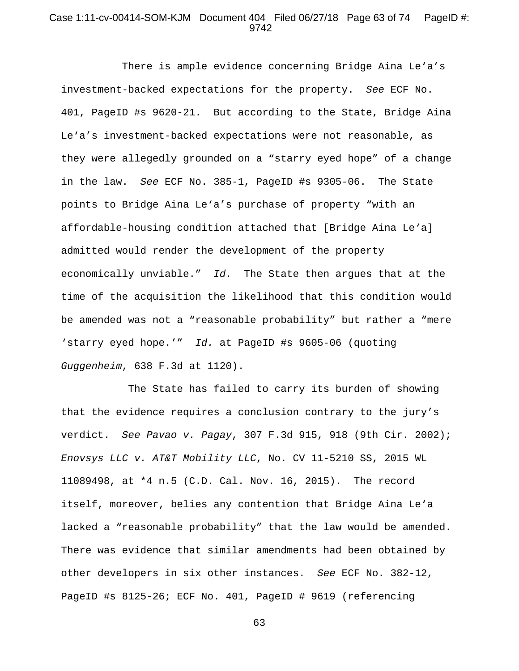## Case 1:11-cv-00414-SOM-KJM Document 404 Filed 06/27/18 Page 63 of 74 PageID #: 9742

There is ample evidence concerning Bridge Aina Le'a's investment-backed expectations for the property. *See* ECF No. 401, PageID #s 9620-21. But according to the State, Bridge Aina Le'a's investment-backed expectations were not reasonable, as they were allegedly grounded on a "starry eyed hope" of a change in the law. *See* ECF No. 385-1, PageID #s 9305-06. The State points to Bridge Aina Le'a's purchase of property "with an affordable-housing condition attached that [Bridge Aina Le'a] admitted would render the development of the property economically unviable." *Id.* The State then argues that at the time of the acquisition the likelihood that this condition would be amended was not a "reasonable probability" but rather a "mere 'starry eyed hope.'" *Id.* at PageID #s 9605-06 (quoting *Guggenheim*, 638 F.3d at 1120).

The State has failed to carry its burden of showing that the evidence requires a conclusion contrary to the jury's verdict. *See Pavao v. Pagay*, 307 F.3d 915, 918 (9th Cir. 2002); *Enovsys LLC v. AT&T Mobility LLC*, No. CV 11-5210 SS, 2015 WL 11089498, at \*4 n.5 (C.D. Cal. Nov. 16, 2015). The record itself, moreover, belies any contention that Bridge Aina Le'a lacked a "reasonable probability" that the law would be amended. There was evidence that similar amendments had been obtained by other developers in six other instances. *See* ECF No. 382-12, PageID #s 8125-26; ECF No. 401, PageID # 9619 (referencing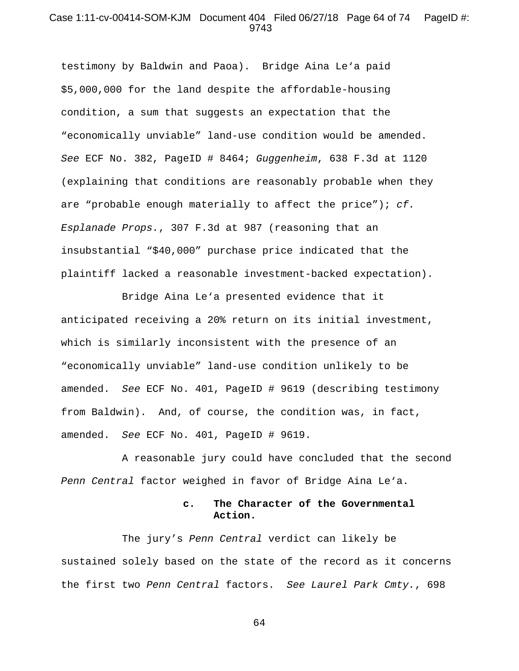## Case 1:11-cv-00414-SOM-KJM Document 404 Filed 06/27/18 Page 64 of 74 PageID #: 9743

testimony by Baldwin and Paoa). Bridge Aina Le'a paid \$5,000,000 for the land despite the affordable-housing condition, a sum that suggests an expectation that the "economically unviable" land-use condition would be amended. *See* ECF No. 382, PageID # 8464; *Guggenheim*, 638 F.3d at 1120 (explaining that conditions are reasonably probable when they are "probable enough materially to affect the price"); *cf. Esplanade Props.*, 307 F.3d at 987 (reasoning that an insubstantial "\$40,000" purchase price indicated that the plaintiff lacked a reasonable investment-backed expectation).

Bridge Aina Le'a presented evidence that it anticipated receiving a 20% return on its initial investment, which is similarly inconsistent with the presence of an "economically unviable" land-use condition unlikely to be amended. *See* ECF No. 401, PageID # 9619 (describing testimony from Baldwin). And, of course, the condition was, in fact, amended. *See* ECF No. 401, PageID # 9619.

A reasonable jury could have concluded that the second *Penn Central* factor weighed in favor of Bridge Aina Le'a.

# **c. The Character of the Governmental Action.**

The jury's *Penn Central* verdict can likely be sustained solely based on the state of the record as it concerns the first two *Penn Central* factors. *See Laurel Park Cmty.*, 698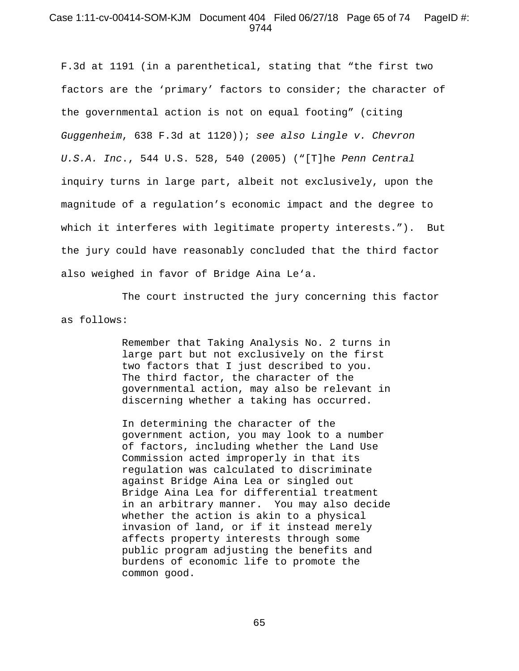## Case 1:11-cv-00414-SOM-KJM Document 404 Filed 06/27/18 Page 65 of 74 PageID #: 9744

F.3d at 1191 (in a parenthetical, stating that "the first two factors are the 'primary' factors to consider; the character of the governmental action is not on equal footing" (citing *Guggenheim*, 638 F.3d at 1120)); *see also Lingle v. Chevron U.S.A. Inc*., 544 U.S. 528, 540 (2005) ("[T]he *Penn Central* inquiry turns in large part, albeit not exclusively, upon the magnitude of a regulation's economic impact and the degree to which it interferes with legitimate property interests."). But the jury could have reasonably concluded that the third factor also weighed in favor of Bridge Aina Le'a.

The court instructed the jury concerning this factor as follows:

> Remember that Taking Analysis No. 2 turns in large part but not exclusively on the first two factors that I just described to you. The third factor, the character of the governmental action, may also be relevant in discerning whether a taking has occurred.

> In determining the character of the government action, you may look to a number of factors, including whether the Land Use Commission acted improperly in that its regulation was calculated to discriminate against Bridge Aina Lea or singled out Bridge Aina Lea for differential treatment in an arbitrary manner. You may also decide whether the action is akin to a physical invasion of land, or if it instead merely affects property interests through some public program adjusting the benefits and burdens of economic life to promote the common good.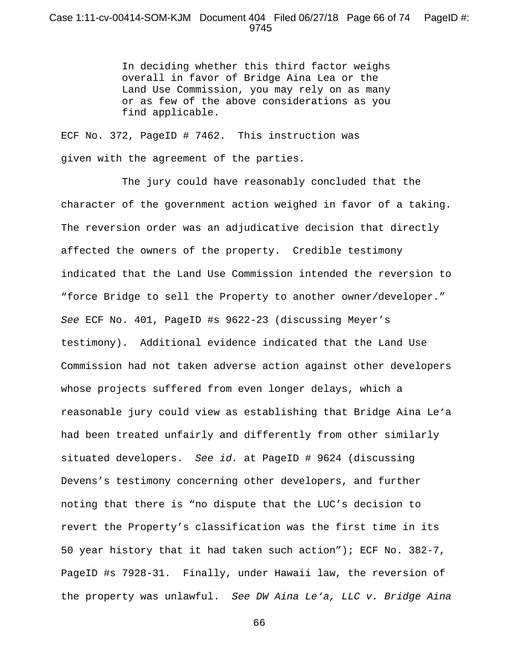# Case 1:11-cv-00414-SOM-KJM Document 404 Filed 06/27/18 Page 66 of 74 PageID #: 9745

In deciding whether this third factor weighs overall in favor of Bridge Aina Lea or the Land Use Commission, you may rely on as many or as few of the above considerations as you find applicable.

ECF No. 372, PageID # 7462. This instruction was given with the agreement of the parties.

The jury could have reasonably concluded that the character of the government action weighed in favor of a taking. The reversion order was an adjudicative decision that directly affected the owners of the property. Credible testimony indicated that the Land Use Commission intended the reversion to "force Bridge to sell the Property to another owner/developer." *See* ECF No. 401, PageID #s 9622-23 (discussing Meyer's testimony). Additional evidence indicated that the Land Use Commission had not taken adverse action against other developers whose projects suffered from even longer delays, which a reasonable jury could view as establishing that Bridge Aina Le'a had been treated unfairly and differently from other similarly situated developers. *See id.* at PageID # 9624 (discussing Devens's testimony concerning other developers, and further noting that there is "no dispute that the LUC's decision to revert the Property's classification was the first time in its 50 year history that it had taken such action"); ECF No. 382-7, PageID #s 7928-31. Finally, under Hawaii law, the reversion of the property was unlawful. *See DW Aina Le'a, LLC v. Bridge Aina*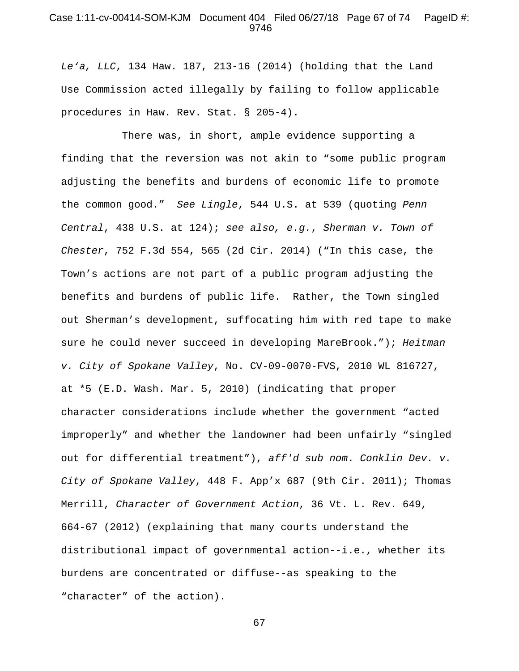## Case 1:11-cv-00414-SOM-KJM Document 404 Filed 06/27/18 Page 67 of 74 PageID #: 9746

*Le'a, LLC*, 134 Haw. 187, 213-16 (2014) (holding that the Land Use Commission acted illegally by failing to follow applicable procedures in Haw. Rev. Stat. § 205-4).

There was, in short, ample evidence supporting a finding that the reversion was not akin to "some public program adjusting the benefits and burdens of economic life to promote the common good." *See Lingle*, 544 U.S. at 539 (quoting *Penn Central*, 438 U.S. at 124); *see also, e.g.*, *Sherman v. Town of Chester*, 752 F.3d 554, 565 (2d Cir. 2014) ("In this case, the Town's actions are not part of a public program adjusting the benefits and burdens of public life. Rather, the Town singled out Sherman's development, suffocating him with red tape to make sure he could never succeed in developing MareBrook."); *Heitman v. City of Spokane Valley*, No. CV-09-0070-FVS, 2010 WL 816727, at \*5 (E.D. Wash. Mar. 5, 2010) (indicating that proper character considerations include whether the government "acted improperly" and whether the landowner had been unfairly "singled out for differential treatment"), *aff'd sub nom*. *Conklin Dev. v. City of Spokane Valley*, 448 F. App'x 687 (9th Cir. 2011); Thomas Merrill, *Character of Government Action*, 36 Vt. L. Rev. 649, 664-67 (2012) (explaining that many courts understand the distributional impact of governmental action--i.e., whether its burdens are concentrated or diffuse--as speaking to the "character" of the action).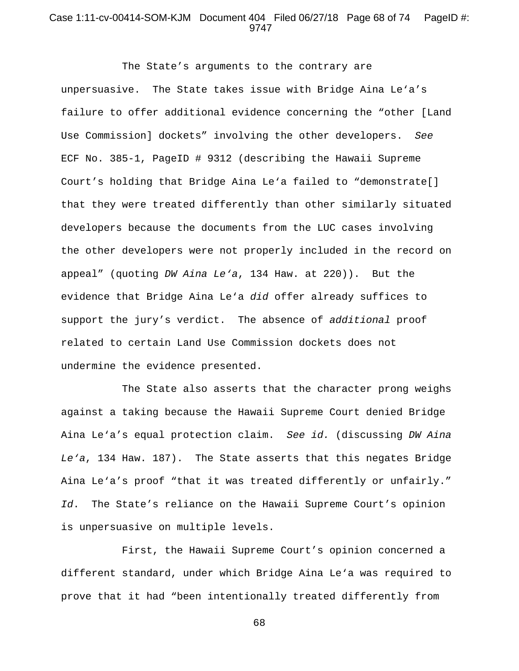#### Case 1:11-cv-00414-SOM-KJM Document 404 Filed 06/27/18 Page 68 of 74 PageID #: 9747

The State's arguments to the contrary are unpersuasive. The State takes issue with Bridge Aina Le'a's failure to offer additional evidence concerning the "other [Land Use Commission] dockets" involving the other developers. *See* ECF No. 385-1, PageID # 9312 (describing the Hawaii Supreme Court's holding that Bridge Aina Le'a failed to "demonstrate[] that they were treated differently than other similarly situated developers because the documents from the LUC cases involving the other developers were not properly included in the record on appeal" (quoting *DW Aina Le'a*, 134 Haw. at 220)). But the evidence that Bridge Aina Le'a *did* offer already suffices to support the jury's verdict. The absence of *additional* proof related to certain Land Use Commission dockets does not undermine the evidence presented.

The State also asserts that the character prong weighs against a taking because the Hawaii Supreme Court denied Bridge Aina Le'a's equal protection claim. *See id.* (discussing *DW Aina Le'a*, 134 Haw. 187). The State asserts that this negates Bridge Aina Le'a's proof "that it was treated differently or unfairly." *Id*. The State's reliance on the Hawaii Supreme Court's opinion is unpersuasive on multiple levels.

First, the Hawaii Supreme Court's opinion concerned a different standard, under which Bridge Aina Le'a was required to prove that it had "been intentionally treated differently from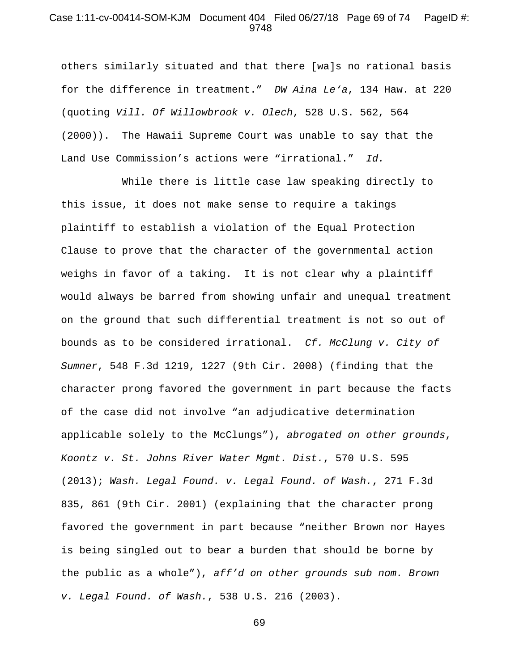## Case 1:11-cv-00414-SOM-KJM Document 404 Filed 06/27/18 Page 69 of 74 PageID #: 9748

others similarly situated and that there [wa]s no rational basis for the difference in treatment." *DW Aina Le'a*, 134 Haw. at 220 (quoting *Vill. Of Willowbrook v. Olech*, 528 U.S. 562, 564 (2000)). The Hawaii Supreme Court was unable to say that the Land Use Commission's actions were "irrational." *Id.*

While there is little case law speaking directly to this issue, it does not make sense to require a takings plaintiff to establish a violation of the Equal Protection Clause to prove that the character of the governmental action weighs in favor of a taking. It is not clear why a plaintiff would always be barred from showing unfair and unequal treatment on the ground that such differential treatment is not so out of bounds as to be considered irrational. *Cf. McClung v. City of Sumner*, 548 F.3d 1219, 1227 (9th Cir. 2008) (finding that the character prong favored the government in part because the facts of the case did not involve "an adjudicative determination applicable solely to the McClungs"), *abrogated on other grounds*, *Koontz v. St. Johns River Water Mgmt. Dist.*, 570 U.S. 595 (2013); *Wash. Legal Found. v. Legal Found. of Wash.*, 271 F.3d 835, 861 (9th Cir. 2001) (explaining that the character prong favored the government in part because "neither Brown nor Hayes is being singled out to bear a burden that should be borne by the public as a whole"), *aff'd on other grounds sub nom. Brown v. Legal Found. of Wash.*, 538 U.S. 216 (2003).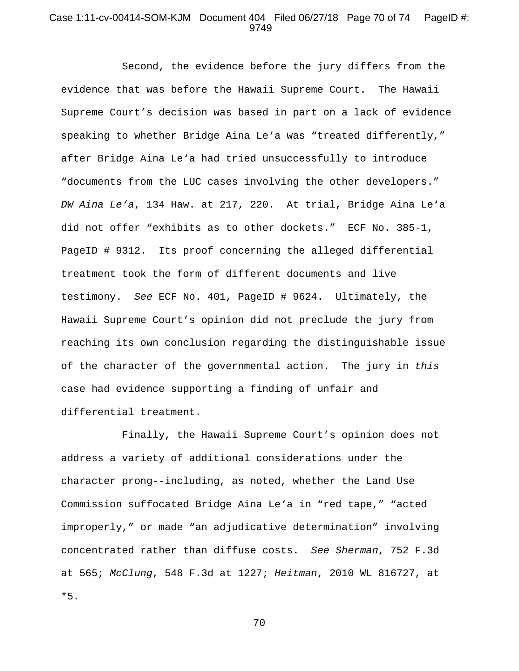## Case 1:11-cv-00414-SOM-KJM Document 404 Filed 06/27/18 Page 70 of 74 PageID #: 9749

Second, the evidence before the jury differs from the evidence that was before the Hawaii Supreme Court. The Hawaii Supreme Court's decision was based in part on a lack of evidence speaking to whether Bridge Aina Le'a was "treated differently," after Bridge Aina Le'a had tried unsuccessfully to introduce "documents from the LUC cases involving the other developers." *DW Aina Le'a*, 134 Haw. at 217, 220. At trial, Bridge Aina Le'a did not offer "exhibits as to other dockets." ECF No. 385-1, PageID # 9312. Its proof concerning the alleged differential treatment took the form of different documents and live testimony. *See* ECF No. 401, PageID # 9624. Ultimately, the Hawaii Supreme Court's opinion did not preclude the jury from reaching its own conclusion regarding the distinguishable issue of the character of the governmental action. The jury in *this*  case had evidence supporting a finding of unfair and differential treatment.

Finally, the Hawaii Supreme Court's opinion does not address a variety of additional considerations under the character prong--including, as noted, whether the Land Use Commission suffocated Bridge Aina Le'a in "red tape," "acted improperly," or made "an adjudicative determination" involving concentrated rather than diffuse costs. *See Sherman*, 752 F.3d at 565; *McClung*, 548 F.3d at 1227; *Heitman*, 2010 WL 816727, at \*5.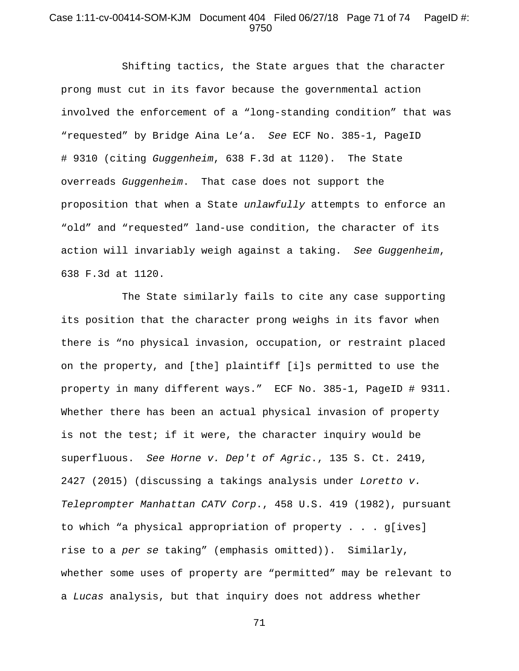# Case 1:11-cv-00414-SOM-KJM Document 404 Filed 06/27/18 Page 71 of 74 PageID #: 9750

Shifting tactics, the State argues that the character prong must cut in its favor because the governmental action involved the enforcement of a "long-standing condition" that was "requested" by Bridge Aina Le'a. *See* ECF No. 385-1, PageID # 9310 (citing *Guggenheim*, 638 F.3d at 1120). The State overreads *Guggenheim*. That case does not support the proposition that when a State *unlawfully* attempts to enforce an "old" and "requested" land-use condition, the character of its action will invariably weigh against a taking. *See Guggenheim*, 638 F.3d at 1120.

The State similarly fails to cite any case supporting its position that the character prong weighs in its favor when there is "no physical invasion, occupation, or restraint placed on the property, and [the] plaintiff [i]s permitted to use the property in many different ways." ECF No. 385-1, PageID # 9311. Whether there has been an actual physical invasion of property is not the test; if it were, the character inquiry would be superfluous. *See Horne v. Dep't of Agric*., 135 S. Ct. 2419, 2427 (2015) (discussing a takings analysis under *Loretto v. Teleprompter Manhattan CATV Corp*., 458 U.S. 419 (1982), pursuant to which "a physical appropriation of property . . . g[ives] rise to a *per se* taking" (emphasis omitted)). Similarly, whether some uses of property are "permitted" may be relevant to a *Lucas* analysis, but that inquiry does not address whether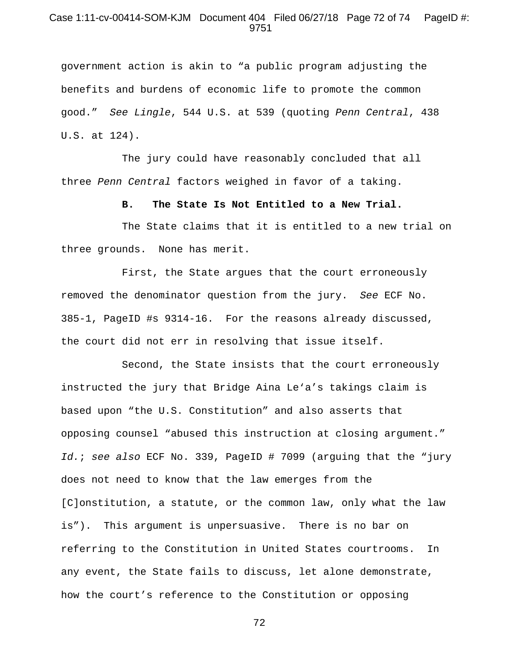## Case 1:11-cv-00414-SOM-KJM Document 404 Filed 06/27/18 Page 72 of 74 PageID #: 9751

government action is akin to "a public program adjusting the benefits and burdens of economic life to promote the common good." *See Lingle*, 544 U.S. at 539 (quoting *Penn Central*, 438 U.S. at 124).

The jury could have reasonably concluded that all three *Penn Central* factors weighed in favor of a taking.

**B. The State Is Not Entitled to a New Trial.** 

The State claims that it is entitled to a new trial on three grounds. None has merit.

First, the State argues that the court erroneously removed the denominator question from the jury. *See* ECF No. 385-1, PageID #s 9314-16. For the reasons already discussed, the court did not err in resolving that issue itself.

Second, the State insists that the court erroneously instructed the jury that Bridge Aina Le'a's takings claim is based upon "the U.S. Constitution" and also asserts that opposing counsel "abused this instruction at closing argument." *Id.*; *see also* ECF No. 339, PageID # 7099 (arguing that the "jury does not need to know that the law emerges from the [C]onstitution, a statute, or the common law, only what the law is"). This argument is unpersuasive. There is no bar on referring to the Constitution in United States courtrooms. In any event, the State fails to discuss, let alone demonstrate, how the court's reference to the Constitution or opposing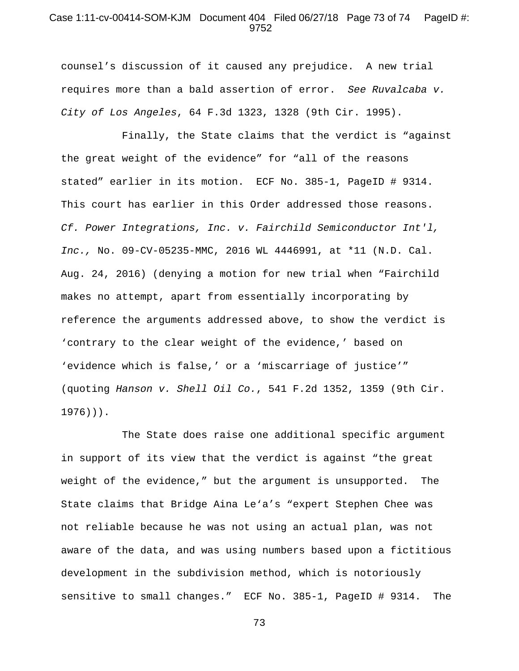## Case 1:11-cv-00414-SOM-KJM Document 404 Filed 06/27/18 Page 73 of 74 PageID #: 9752

counsel's discussion of it caused any prejudice. A new trial requires more than a bald assertion of error. *See Ruvalcaba v. City of Los Angeles*, 64 F.3d 1323, 1328 (9th Cir. 1995).

Finally, the State claims that the verdict is "against the great weight of the evidence" for "all of the reasons stated" earlier in its motion. ECF No. 385-1, PageID # 9314. This court has earlier in this Order addressed those reasons. *Cf. Power Integrations, Inc. v. Fairchild Semiconductor Int'l, Inc.,* No. 09-CV-05235-MMC, 2016 WL 4446991, at \*11 (N.D. Cal. Aug. 24, 2016) (denying a motion for new trial when "Fairchild makes no attempt, apart from essentially incorporating by reference the arguments addressed above, to show the verdict is 'contrary to the clear weight of the evidence,' based on 'evidence which is false,' or a 'miscarriage of justice'" (quoting *Hanson v. Shell Oil Co.*, 541 F.2d 1352, 1359 (9th Cir. 1976))).

The State does raise one additional specific argument in support of its view that the verdict is against "the great weight of the evidence," but the argument is unsupported. The State claims that Bridge Aina Le'a's "expert Stephen Chee was not reliable because he was not using an actual plan, was not aware of the data, and was using numbers based upon a fictitious development in the subdivision method, which is notoriously sensitive to small changes." ECF No. 385-1, PageID # 9314. The

73